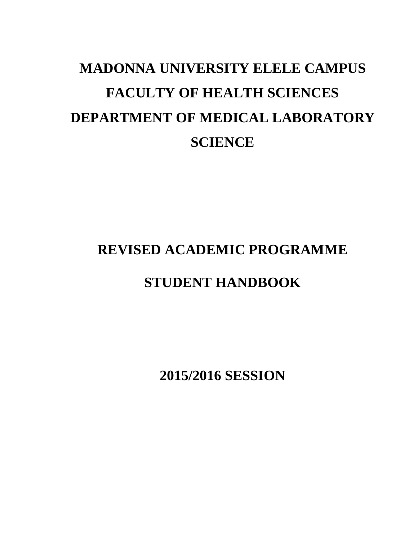# **MADONNA UNIVERSITY ELELE CAMPUS FACULTY OF HEALTH SCIENCES DEPARTMENT OF MEDICAL LABORATORY SCIENCE**

## **REVISED ACADEMIC PROGRAMME**

## **STUDENT HANDBOOK**

**2015/2016 SESSION**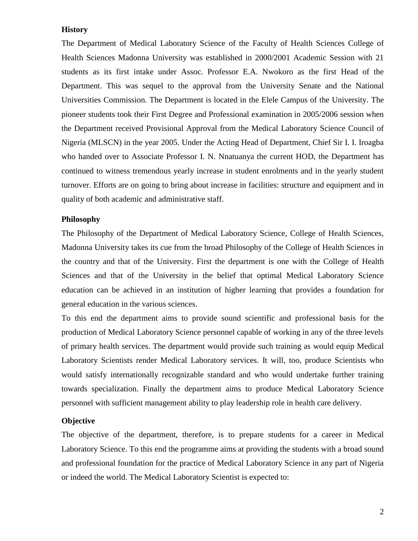#### **History**

The Department of Medical Laboratory Science of the Faculty of Health Sciences College of Health Sciences Madonna University was established in 2000/2001 Academic Session with 21 students as its first intake under Assoc. Professor E.A. Nwokoro as the first Head of the Department. This was sequel to the approval from the University Senate and the National Universities Commission. The Department is located in the Elele Campus of the University. The pioneer students took their First Degree and Professional examination in 2005/2006 session when the Department received Provisional Approval from the Medical Laboratory Science Council of Nigeria (MLSCN) in the year 2005. Under the Acting Head of Department, Chief Sir I. I. Iroagba who handed over to Associate Professor I. N. Nnatuanya the current HOD, the Department has continued to witness tremendous yearly increase in student enrolments and in the yearly student turnover. Efforts are on going to bring about increase in facilities: structure and equipment and in quality of both academic and administrative staff.

#### **Philosophy**

The Philosophy of the Department of Medical Laboratory Science, College of Health Sciences, Madonna University takes its cue from the broad Philosophy of the College of Health Sciences in the country and that of the University. First the department is one with the College of Health Sciences and that of the University in the belief that optimal Medical Laboratory Science education can be achieved in an institution of higher learning that provides a foundation for general education in the various sciences.

To this end the department aims to provide sound scientific and professional basis for the production of Medical Laboratory Science personnel capable of working in any of the three levels of primary health services. The department would provide such training as would equip Medical Laboratory Scientists render Medical Laboratory services. It will, too, produce Scientists who would satisfy internationally recognizable standard and who would undertake further training towards specialization. Finally the department aims to produce Medical Laboratory Science personnel with sufficient management ability to play leadership role in health care delivery.

### **Objective**

The objective of the department, therefore, is to prepare students for a career in Medical Laboratory Science. To this end the programme aims at providing the students with a broad sound and professional foundation for the practice of Medical Laboratory Science in any part of Nigeria or indeed the world. The Medical Laboratory Scientist is expected to: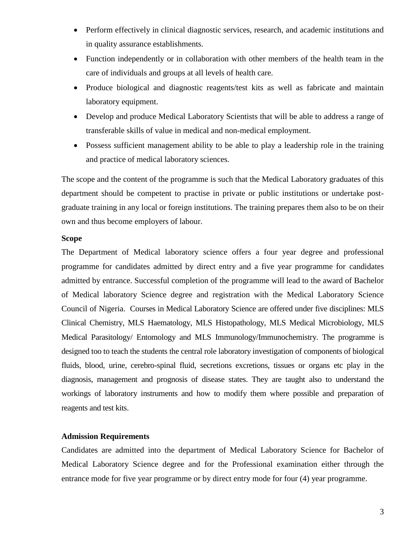- Perform effectively in clinical diagnostic services, research, and academic institutions and in quality assurance establishments.
- Function independently or in collaboration with other members of the health team in the care of individuals and groups at all levels of health care.
- Produce biological and diagnostic reagents/test kits as well as fabricate and maintain laboratory equipment.
- Develop and produce Medical Laboratory Scientists that will be able to address a range of transferable skills of value in medical and non-medical employment.
- Possess sufficient management ability to be able to play a leadership role in the training and practice of medical laboratory sciences.

The scope and the content of the programme is such that the Medical Laboratory graduates of this department should be competent to practise in private or public institutions or undertake postgraduate training in any local or foreign institutions. The training prepares them also to be on their own and thus become employers of labour.

#### **Scope**

The Department of Medical laboratory science offers a four year degree and professional programme for candidates admitted by direct entry and a five year programme for candidates admitted by entrance. Successful completion of the programme will lead to the award of Bachelor of Medical laboratory Science degree and registration with the Medical Laboratory Science Council of Nigeria. Courses in Medical Laboratory Science are offered under five disciplines: MLS Clinical Chemistry, MLS Haematology, MLS Histopathology, MLS Medical Microbiology, MLS Medical Parasitology/ Entomology and MLS Immunology/Immunochemistry. The programme is designed too to teach the students the central role laboratory investigation of components of biological fluids, blood, urine, cerebro-spinal fluid, secretions excretions, tissues or organs etc play in the diagnosis, management and prognosis of disease states. They are taught also to understand the workings of laboratory instruments and how to modify them where possible and preparation of reagents and test kits.

#### **Admission Requirements**

Candidates are admitted into the department of Medical Laboratory Science for Bachelor of Medical Laboratory Science degree and for the Professional examination either through the entrance mode for five year programme or by direct entry mode for four (4) year programme.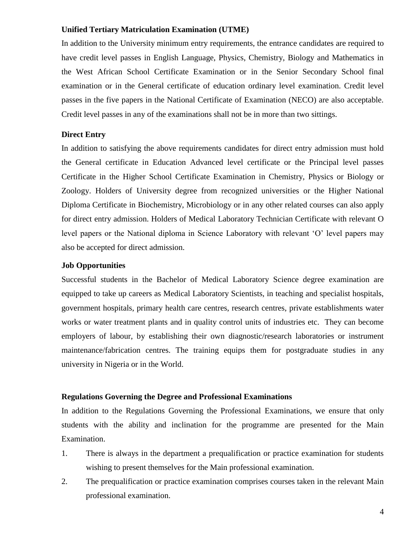#### **Unified Tertiary Matriculation Examination (UTME)**

In addition to the University minimum entry requirements, the entrance candidates are required to have credit level passes in English Language, Physics, Chemistry, Biology and Mathematics in the West African School Certificate Examination or in the Senior Secondary School final examination or in the General certificate of education ordinary level examination. Credit level passes in the five papers in the National Certificate of Examination (NECO) are also acceptable. Credit level passes in any of the examinations shall not be in more than two sittings.

#### **Direct Entry**

In addition to satisfying the above requirements candidates for direct entry admission must hold the General certificate in Education Advanced level certificate or the Principal level passes Certificate in the Higher School Certificate Examination in Chemistry, Physics or Biology or Zoology. Holders of University degree from recognized universities or the Higher National Diploma Certificate in Biochemistry, Microbiology or in any other related courses can also apply for direct entry admission. Holders of Medical Laboratory Technician Certificate with relevant O level papers or the National diploma in Science Laboratory with relevant 'O' level papers may also be accepted for direct admission.

#### **Job Opportunities**

Successful students in the Bachelor of Medical Laboratory Science degree examination are equipped to take up careers as Medical Laboratory Scientists, in teaching and specialist hospitals, government hospitals, primary health care centres, research centres, private establishments water works or water treatment plants and in quality control units of industries etc. They can become employers of labour, by establishing their own diagnostic/research laboratories or instrument maintenance/fabrication centres. The training equips them for postgraduate studies in any university in Nigeria or in the World.

#### **Regulations Governing the Degree and Professional Examinations**

In addition to the Regulations Governing the Professional Examinations, we ensure that only students with the ability and inclination for the programme are presented for the Main Examination.

- 1. There is always in the department a prequalification or practice examination for students wishing to present themselves for the Main professional examination.
- 2. The prequalification or practice examination comprises courses taken in the relevant Main professional examination.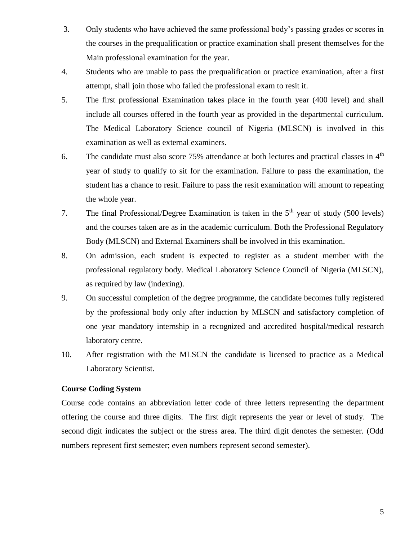- 3. Only students who have achieved the same professional body's passing grades or scores in the courses in the prequalification or practice examination shall present themselves for the Main professional examination for the year.
- 4. Students who are unable to pass the prequalification or practice examination, after a first attempt, shall join those who failed the professional exam to resit it.
- 5. The first professional Examination takes place in the fourth year (400 level) and shall include all courses offered in the fourth year as provided in the departmental curriculum. The Medical Laboratory Science council of Nigeria (MLSCN) is involved in this examination as well as external examiners.
- 6. The candidate must also score  $75\%$  attendance at both lectures and practical classes in  $4<sup>th</sup>$ year of study to qualify to sit for the examination. Failure to pass the examination, the student has a chance to resit. Failure to pass the resit examination will amount to repeating the whole year.
- 7. The final Professional/Degree Examination is taken in the  $5<sup>th</sup>$  year of study (500 levels) and the courses taken are as in the academic curriculum. Both the Professional Regulatory Body (MLSCN) and External Examiners shall be involved in this examination.
- 8. On admission, each student is expected to register as a student member with the professional regulatory body. Medical Laboratory Science Council of Nigeria (MLSCN), as required by law (indexing).
- 9. On successful completion of the degree programme, the candidate becomes fully registered by the professional body only after induction by MLSCN and satisfactory completion of one–year mandatory internship in a recognized and accredited hospital/medical research laboratory centre.
- 10. After registration with the MLSCN the candidate is licensed to practice as a Medical Laboratory Scientist.

#### **Course Coding System**

Course code contains an abbreviation letter code of three letters representing the department offering the course and three digits. The first digit represents the year or level of study. The second digit indicates the subject or the stress area. The third digit denotes the semester. (Odd numbers represent first semester; even numbers represent second semester).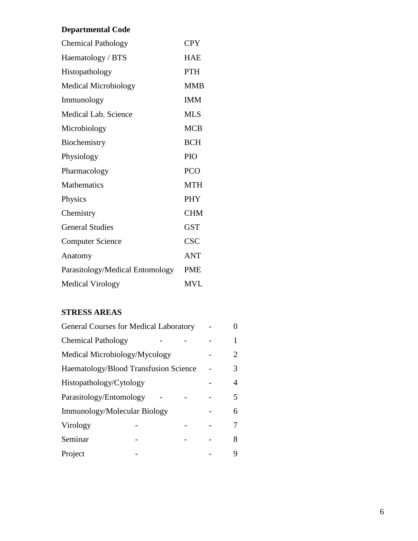## **Departmental Code**

| <b>Chemical Pathology</b>       | <b>CPY</b> |
|---------------------------------|------------|
| Haematology / BTS               | HAE        |
| Histopathology                  | <b>PTH</b> |
| <b>Medical Microbiology</b>     | <b>MMB</b> |
| Immunology                      | <b>IMM</b> |
| Medical Lab. Science            | <b>MLS</b> |
| Microbiology                    | <b>MCB</b> |
| Biochemistry                    | <b>BCH</b> |
| Physiology                      | PIO        |
| Pharmacology                    | <b>PCO</b> |
| Mathematics                     | <b>MTH</b> |
| Physics                         | <b>PHY</b> |
| Chemistry                       | <b>CHM</b> |
| <b>General Studies</b>          | <b>GST</b> |
| <b>Computer Science</b>         | <b>CSC</b> |
| Anatomy                         | <b>ANT</b> |
| Parasitology/Medical Entomology | <b>PME</b> |
| <b>Medical Virology</b>         | <b>MVL</b> |

## **STRESS AREAS**

| <b>General Courses for Medical Laboratory</b> |  |  |  |                       |
|-----------------------------------------------|--|--|--|-----------------------|
| <b>Chemical Pathology</b>                     |  |  |  |                       |
| Medical Microbiology/Mycology                 |  |  |  | $\mathcal{D}_{\cdot}$ |
| Haematology/Blood Transfusion Science         |  |  |  | 3                     |
| Histopathology/Cytology                       |  |  |  | 4                     |
| Parasitology/Entomology                       |  |  |  | 5.                    |
| Immunology/Molecular Biology                  |  |  |  | 6                     |
| Virology                                      |  |  |  |                       |
| Seminar                                       |  |  |  | 8                     |
| Project                                       |  |  |  |                       |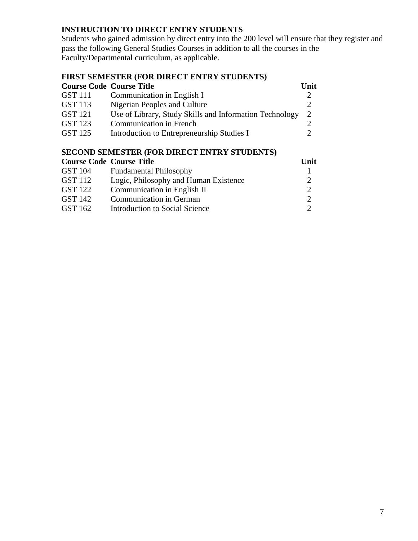## **INSTRUCTION TO DIRECT ENTRY STUDENTS**

Students who gained admission by direct entry into the 200 level will ensure that they register and pass the following General Studies Courses in addition to all the courses in the Faculty/Departmental curriculum, as applicable.

## **FIRST SEMESTER (FOR DIRECT ENTRY STUDENTS)**

| <b>Course Code Course Title</b> |                                                         | Unit |
|---------------------------------|---------------------------------------------------------|------|
| <b>GST</b> 111                  | Communication in English I                              |      |
| GST 113                         | Nigerian Peoples and Culture                            |      |
| <b>GST 121</b>                  | Use of Library, Study Skills and Information Technology |      |
| GST 123                         | <b>Communication in French</b>                          |      |
| <b>GST 125</b>                  | Introduction to Entrepreneurship Studies I              |      |

## **SECOND SEMESTER (FOR DIRECT ENTRY STUDENTS)**

|                | <b>Course Code Course Title</b>       | Unit |
|----------------|---------------------------------------|------|
| <b>GST 104</b> | <b>Fundamental Philosophy</b>         |      |
| <b>GST 112</b> | Logic, Philosophy and Human Existence |      |
| GST 122        | Communication in English II           | റ    |
| GST 142        | <b>Communication in German</b>        |      |
| GST 162        | Introduction to Social Science        |      |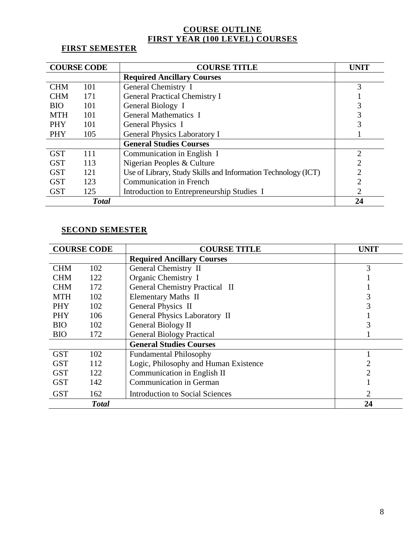### **COURSE OUTLINE FIRST YEAR (100 LEVEL) COURSES**

## **FIRST SEMESTER**

|            | <b>COURSE CODE</b> | <b>COURSE TITLE</b>                                           | <b>UNIT</b>   |
|------------|--------------------|---------------------------------------------------------------|---------------|
|            |                    | <b>Required Ancillary Courses</b>                             |               |
| <b>CHM</b> | 101                | General Chemistry I                                           | 3             |
| <b>CHM</b> | 171                | <b>General Practical Chemistry I</b>                          |               |
| <b>BIO</b> | 101                | General Biology I                                             |               |
| <b>MTH</b> | 101                | <b>General Mathematics I</b>                                  |               |
| <b>PHY</b> | 101                | <b>General Physics I</b>                                      |               |
| <b>PHY</b> | 105                | General Physics Laboratory I                                  |               |
|            |                    | <b>General Studies Courses</b>                                |               |
| <b>GST</b> | 111                | Communication in English I                                    | $\mathcal{D}$ |
| <b>GST</b> | 113                | Nigerian Peoples & Culture                                    |               |
| <b>GST</b> | 121                | Use of Library, Study Skills and Information Technology (ICT) |               |
| <b>GST</b> | 123                | <b>Communication in French</b>                                | 2             |
| <b>GST</b> | 125                | Introduction to Entrepreneurship Studies I                    |               |
|            | <b>Total</b>       |                                                               | 24            |

### **SECOND SEMESTER**

|            | <b>COURSE CODE</b> | <b>COURSE TITLE</b>                    | UNIT |
|------------|--------------------|----------------------------------------|------|
|            |                    | <b>Required Ancillary Courses</b>      |      |
| <b>CHM</b> | 102                | General Chemistry II                   | 3    |
| <b>CHM</b> | 122                | Organic Chemistry I                    |      |
| <b>CHM</b> | 172                | <b>General Chemistry Practical II</b>  |      |
| <b>MTH</b> | 102                | <b>Elementary Maths II</b>             |      |
| <b>PHY</b> | 102                | General Physics II                     |      |
| <b>PHY</b> | 106                | General Physics Laboratory II          |      |
| <b>BIO</b> | 102                | General Biology II                     |      |
| <b>BIO</b> | 172                | <b>General Biology Practical</b>       |      |
|            |                    | <b>General Studies Courses</b>         |      |
| <b>GST</b> | 102                | <b>Fundamental Philosophy</b>          |      |
| <b>GST</b> | 112                | Logic, Philosophy and Human Existence  |      |
| <b>GST</b> | 122                | Communication in English II            | 2    |
| <b>GST</b> | 142                | <b>Communication in German</b>         |      |
| <b>GST</b> | 162                | <b>Introduction to Social Sciences</b> | 2    |
|            | <b>Total</b>       |                                        | 24   |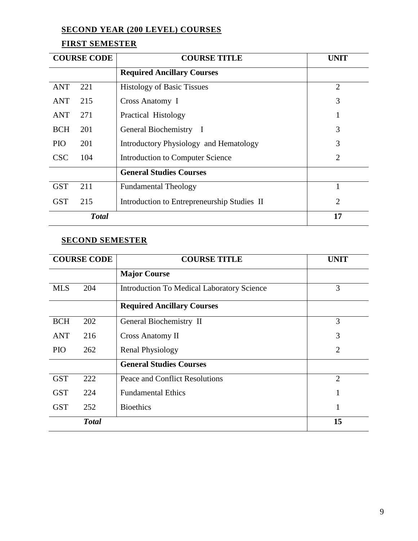## **SECOND YEAR (200 LEVEL) COURSES**

## **FIRST SEMESTER**

|            | <b>COURSE CODE</b> | <b>COURSE TITLE</b>                         | <b>UNIT</b>    |
|------------|--------------------|---------------------------------------------|----------------|
|            |                    | <b>Required Ancillary Courses</b>           |                |
| <b>ANT</b> | 221                | <b>Histology of Basic Tissues</b>           | $\overline{2}$ |
| ANT        | 215                | Cross Anatomy I                             | 3              |
| ANT        | 271                | Practical Histology                         | 1              |
| <b>BCH</b> | 201                | General Biochemistry I                      | 3              |
| <b>PIO</b> | 201                | Introductory Physiology and Hematology      | 3              |
| <b>CSC</b> | 104                | Introduction to Computer Science            | $\overline{2}$ |
|            |                    | <b>General Studies Courses</b>              |                |
| <b>GST</b> | 211                | <b>Fundamental Theology</b>                 |                |
| <b>GST</b> | 215                | Introduction to Entrepreneurship Studies II | $\overline{2}$ |
|            | <b>Total</b>       |                                             | 17             |

## **SECOND SEMESTER**

|            | <b>COURSE CODE</b> | <b>COURSE TITLE</b>                               | <b>UNIT</b>    |
|------------|--------------------|---------------------------------------------------|----------------|
|            |                    | <b>Major Course</b>                               |                |
| <b>MLS</b> | 204                | <b>Introduction To Medical Laboratory Science</b> | 3              |
|            |                    | <b>Required Ancillary Courses</b>                 |                |
| <b>BCH</b> | 202                | General Biochemistry II                           | 3              |
| <b>ANT</b> | 216                | <b>Cross Anatomy II</b>                           | 3              |
| <b>PIO</b> | 262                | <b>Renal Physiology</b>                           | $\overline{2}$ |
|            |                    | <b>General Studies Courses</b>                    |                |
| <b>GST</b> | 222                | Peace and Conflict Resolutions                    | $\overline{2}$ |
| <b>GST</b> | 224                | <b>Fundamental Ethics</b>                         |                |
| <b>GST</b> | 252                | <b>Bioethics</b>                                  | 1              |
|            | <b>Total</b>       |                                                   | 15             |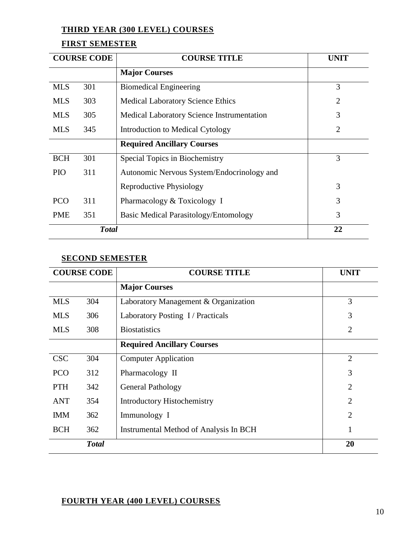### **THIRD YEAR (300 LEVEL) COURSES**

## **FIRST SEMESTER**

|            | <b>COURSE CODE</b> | <b>COURSE TITLE</b>                               | <b>UNIT</b>    |
|------------|--------------------|---------------------------------------------------|----------------|
|            |                    | <b>Major Courses</b>                              |                |
| <b>MLS</b> | 301                | <b>Biomedical Engineering</b>                     | 3              |
| <b>MLS</b> | 303                | <b>Medical Laboratory Science Ethics</b>          | $\overline{2}$ |
| <b>MLS</b> | 305                | <b>Medical Laboratory Science Instrumentation</b> | 3              |
| <b>MLS</b> | 345                | Introduction to Medical Cytology                  | $\overline{2}$ |
|            |                    | <b>Required Ancillary Courses</b>                 |                |
| <b>BCH</b> | 301                | Special Topics in Biochemistry                    | 3              |
| <b>PIO</b> | 311                | Autonomic Nervous System/Endocrinology and        |                |
|            |                    | Reproductive Physiology                           | 3              |
| <b>PCO</b> | 311                | Pharmacology & Toxicology I                       | 3              |
| <b>PME</b> | 351                | Basic Medical Parasitology/Entomology             | 3              |
|            | <b>Total</b>       |                                                   | 22             |

### **SECOND SEMESTER**

|            | <b>COURSE CODE</b> | <b>COURSE TITLE</b>                    | <b>UNIT</b>    |
|------------|--------------------|----------------------------------------|----------------|
|            |                    | <b>Major Courses</b>                   |                |
| <b>MLS</b> | 304                | Laboratory Management & Organization   | 3              |
| <b>MLS</b> | 306                | Laboratory Posting I/Practicals        | 3              |
| <b>MLS</b> | 308                | <b>Biostatistics</b>                   | $\overline{2}$ |
|            |                    | <b>Required Ancillary Courses</b>      |                |
| <b>CSC</b> | 304                | <b>Computer Application</b>            | $\overline{2}$ |
| <b>PCO</b> | 312                | Pharmacology II                        | 3              |
| <b>PTH</b> | 342                | <b>General Pathology</b>               | 2              |
| <b>ANT</b> | 354                | <b>Introductory Histochemistry</b>     | $\overline{2}$ |
| <b>IMM</b> | 362                | Immunology I                           | $\overline{2}$ |
| <b>BCH</b> | 362                | Instrumental Method of Analysis In BCH | 1              |
|            | <b>Total</b>       |                                        | 20             |

## **FOURTH YEAR (400 LEVEL) COURSES**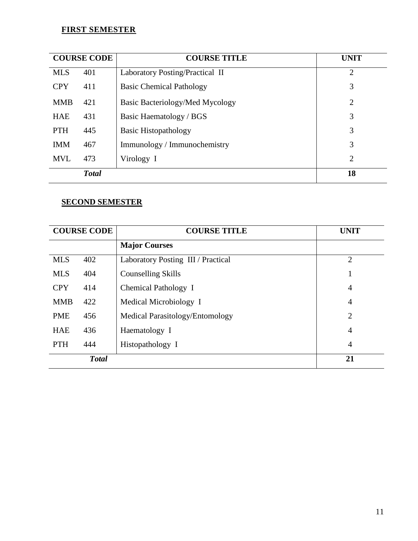### **FIRST SEMESTER**

|            | <b>COURSE CODE</b> | <b>COURSE TITLE</b>             | <b>UNIT</b>    |
|------------|--------------------|---------------------------------|----------------|
| <b>MLS</b> | 401                | Laboratory Posting/Practical II | $\overline{2}$ |
| <b>CPY</b> | 411                | <b>Basic Chemical Pathology</b> | 3              |
| <b>MMB</b> | 421                | Basic Bacteriology/Med Mycology | $\overline{2}$ |
| <b>HAE</b> | 431                | Basic Haematology / BGS         | 3              |
| <b>PTH</b> | 445                | <b>Basic Histopathology</b>     | 3              |
| <b>IMM</b> | 467                | Immunology / Immunochemistry    | 3              |
| <b>MVL</b> | 473                | Virology I                      | $\overline{2}$ |
|            | <b>Total</b>       |                                 | 18             |

## **SECOND SEMESTER**

|            | <b>COURSE CODE</b> | <b>COURSE TITLE</b>                | <b>UNIT</b>    |
|------------|--------------------|------------------------------------|----------------|
|            |                    | <b>Major Courses</b>               |                |
| <b>MLS</b> | 402                | Laboratory Posting III / Practical | $\overline{2}$ |
| <b>MLS</b> | 404                | <b>Counselling Skills</b>          |                |
| <b>CPY</b> | 414                | Chemical Pathology I               | $\overline{4}$ |
| <b>MMB</b> | 422                | Medical Microbiology I             | $\overline{4}$ |
| <b>PME</b> | 456                | Medical Parasitology/Entomology    | $\overline{2}$ |
| <b>HAE</b> | 436                | Haematology I                      | $\overline{4}$ |
| <b>PTH</b> | 444                | Histopathology I                   | $\overline{4}$ |
|            | <b>Total</b>       |                                    | 21             |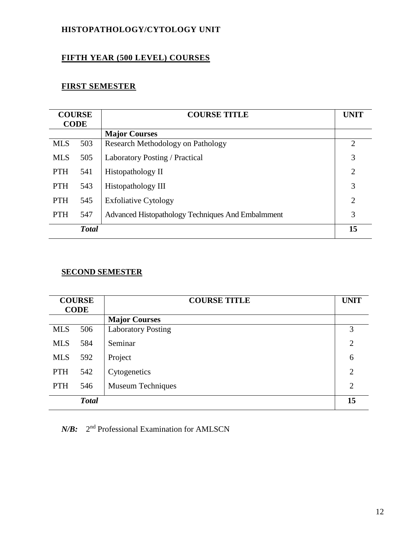## **HISTOPATHOLOGY/CYTOLOGY UNIT**

## **FIFTH YEAR (500 LEVEL) COURSES**

## **FIRST SEMESTER**

| <b>COURSE</b><br><b>CODE</b> |     | <b>COURSE TITLE</b>                               | <b>UNIT</b>    |
|------------------------------|-----|---------------------------------------------------|----------------|
|                              |     | <b>Major Courses</b>                              |                |
| <b>MLS</b>                   | 503 | Research Methodology on Pathology                 | $\overline{2}$ |
| <b>MLS</b>                   | 505 | Laboratory Posting / Practical                    | 3              |
| <b>PTH</b>                   | 541 | Histopathology II                                 | $\overline{2}$ |
| <b>PTH</b>                   | 543 | Histopathology III                                | 3              |
| <b>PTH</b>                   | 545 | <b>Exfoliative Cytology</b>                       | $\overline{2}$ |
| 547<br><b>PTH</b>            |     | Advanced Histopathology Techniques And Embalmment | 3              |
| <b>Total</b>                 |     | 15                                                |                |

## **SECOND SEMESTER**

| <b>COURSE</b><br><b>CODE</b> |              | <b>COURSE TITLE</b>       | <b>UNIT</b>    |
|------------------------------|--------------|---------------------------|----------------|
|                              |              | <b>Major Courses</b>      |                |
| <b>MLS</b>                   | 506          | <b>Laboratory Posting</b> | 3              |
| <b>MLS</b>                   | 584          | Seminar                   | $\overline{2}$ |
| <b>MLS</b>                   | 592          | Project                   | 6              |
| <b>PTH</b>                   | 542          | Cytogenetics              | $\overline{2}$ |
| <b>PTH</b>                   | 546          | Museum Techniques         | $\overline{2}$ |
|                              | <b>Total</b> |                           | 15             |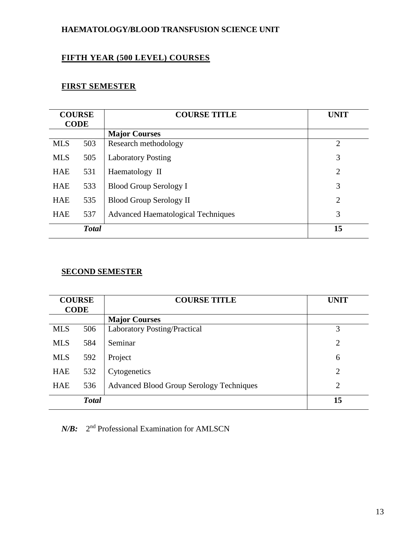## **HAEMATOLOGY/BLOOD TRANSFUSION SCIENCE UNIT**

## **FIFTH YEAR (500 LEVEL) COURSES**

## **FIRST SEMESTER**

| <b>COURSE</b><br><b>CODE</b> |              | <b>COURSE TITLE</b>                       | UNIT           |
|------------------------------|--------------|-------------------------------------------|----------------|
|                              |              | <b>Major Courses</b>                      |                |
| <b>MLS</b>                   | 503          | Research methodology                      | $\overline{2}$ |
| <b>MLS</b>                   | 505          | <b>Laboratory Posting</b>                 | 3              |
| <b>HAE</b>                   | 531          | Haematology II                            | $\overline{2}$ |
| <b>HAE</b>                   | 533          | <b>Blood Group Serology I</b>             | 3              |
| <b>HAE</b>                   | 535          | <b>Blood Group Serology II</b>            | $\overline{2}$ |
| <b>HAE</b>                   | 537          | <b>Advanced Haematological Techniques</b> | 3              |
|                              | <b>Total</b> |                                           | 15             |

## **SECOND SEMESTER**

| <b>COURSE</b><br><b>CODE</b> |              | <b>COURSE TITLE</b>                             | <b>UNIT</b>    |
|------------------------------|--------------|-------------------------------------------------|----------------|
|                              |              | <b>Major Courses</b>                            |                |
| <b>MLS</b>                   | 506          | <b>Laboratory Posting/Practical</b>             | 3              |
| <b>MLS</b>                   | 584          | Seminar                                         | $\overline{2}$ |
| <b>MLS</b>                   | 592          | Project                                         | 6              |
| <b>HAE</b>                   | 532          | Cytogenetics                                    | $\overline{2}$ |
| <b>HAE</b>                   | 536          | <b>Advanced Blood Group Serology Techniques</b> | $\overline{2}$ |
|                              | <b>Total</b> |                                                 | 15             |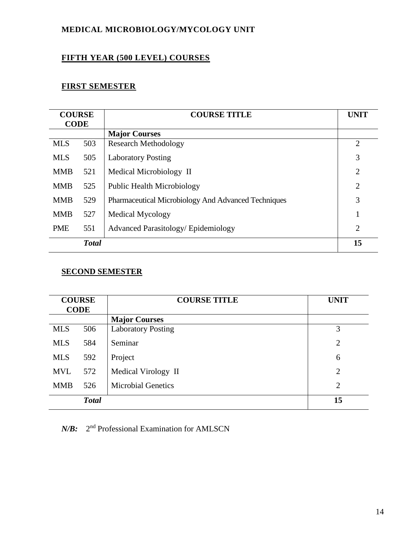## **MEDICAL MICROBIOLOGY/MYCOLOGY UNIT**

## **FIFTH YEAR (500 LEVEL) COURSES**

## **FIRST SEMESTER**

| <b>COURSE</b><br><b>CODE</b>                                    |                                                            | <b>COURSE TITLE</b>               | <b>UNIT</b>    |
|-----------------------------------------------------------------|------------------------------------------------------------|-----------------------------------|----------------|
|                                                                 |                                                            | <b>Major Courses</b>              |                |
| <b>MLS</b>                                                      | 503                                                        | <b>Research Methodology</b>       | $\overline{2}$ |
| <b>MLS</b>                                                      | 505                                                        | <b>Laboratory Posting</b>         | 3              |
| <b>MMB</b>                                                      | 521                                                        | Medical Microbiology II           | $\overline{2}$ |
| <b>MMB</b>                                                      | 525                                                        | <b>Public Health Microbiology</b> | $\overline{2}$ |
| <b>MMB</b>                                                      | 529<br>Pharmaceutical Microbiology And Advanced Techniques |                                   | 3              |
| <b>MMB</b>                                                      | 527                                                        | <b>Medical Mycology</b>           |                |
| <b>PME</b><br>551<br><b>Advanced Parasitology/ Epidemiology</b> |                                                            |                                   | $\overline{2}$ |
|                                                                 | <b>Total</b>                                               |                                   | 15             |

## **SECOND SEMESTER**

| <b>COURSE</b><br><b>CODE</b> |              | <b>COURSE TITLE</b>       | <b>UNIT</b>    |
|------------------------------|--------------|---------------------------|----------------|
|                              |              | <b>Major Courses</b>      |                |
| <b>MLS</b>                   | 506          | <b>Laboratory Posting</b> | 3              |
| <b>MLS</b>                   | 584          | Seminar                   | $\overline{2}$ |
| <b>MLS</b>                   | 592          | Project                   | 6              |
| <b>MVL</b>                   | 572          | Medical Virology II       | $\overline{2}$ |
| <b>MMB</b>                   | 526          | <b>Microbial Genetics</b> | $\overline{2}$ |
|                              | <b>Total</b> |                           | 15             |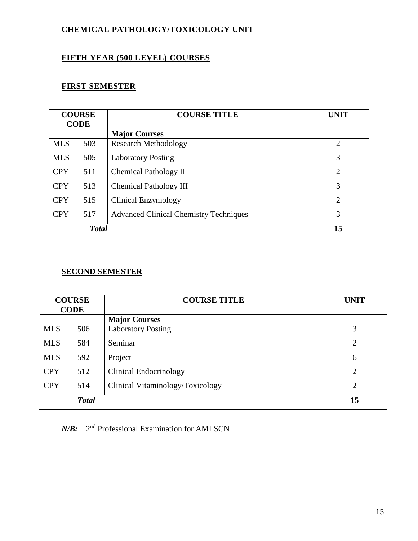## **CHEMICAL PATHOLOGY/TOXICOLOGY UNIT**

## **FIFTH YEAR (500 LEVEL) COURSES**

## **FIRST SEMESTER**

| <b>COURSE</b><br><b>CODE</b> |     | <b>COURSE TITLE</b>                           | <b>UNIT</b>    |
|------------------------------|-----|-----------------------------------------------|----------------|
|                              |     | <b>Major Courses</b>                          |                |
| <b>MLS</b>                   | 503 | <b>Research Methodology</b>                   | $\overline{2}$ |
| <b>MLS</b>                   | 505 | <b>Laboratory Posting</b>                     | 3              |
| <b>CPY</b>                   | 511 | Chemical Pathology II                         | $\overline{2}$ |
| <b>CPY</b>                   | 513 | Chemical Pathology III                        | 3              |
| <b>CPY</b>                   | 515 | Clinical Enzymology                           | $\overline{2}$ |
| <b>CPY</b>                   | 517 | <b>Advanced Clinical Chemistry Techniques</b> | 3              |
| <b>Total</b>                 |     |                                               | 15             |

## **SECOND SEMESTER**

| <b>COURSE</b><br><b>CODE</b> |              | <b>COURSE TITLE</b>              | <b>UNIT</b>    |
|------------------------------|--------------|----------------------------------|----------------|
|                              |              | <b>Major Courses</b>             |                |
| <b>MLS</b>                   | 506          | <b>Laboratory Posting</b>        | 3              |
| <b>MLS</b>                   | 584          | Seminar                          | $\overline{2}$ |
| <b>MLS</b>                   | 592          | Project                          | 6              |
| <b>CPY</b>                   | 512          | Clinical Endocrinology           | $\overline{2}$ |
| <b>CPY</b>                   | 514          | Clinical Vitaminology/Toxicology | 2              |
|                              | <b>Total</b> |                                  | 15             |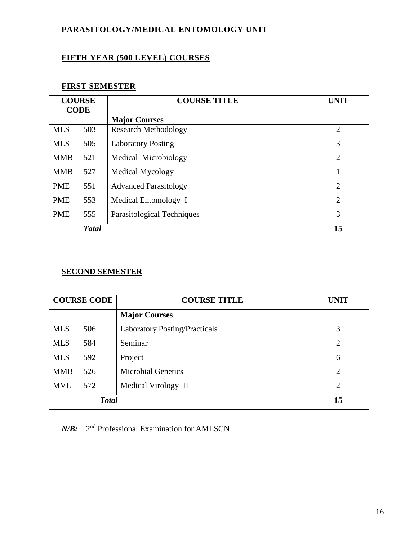## **PARASITOLOGY/MEDICAL ENTOMOLOGY UNIT**

## **FIFTH YEAR (500 LEVEL) COURSES**

## **FIRST SEMESTER**

| <b>COURSE</b><br><b>CODE</b> |              | <b>COURSE TITLE</b>          | <b>UNIT</b>    |
|------------------------------|--------------|------------------------------|----------------|
|                              |              | <b>Major Courses</b>         |                |
| <b>MLS</b>                   | 503          | <b>Research Methodology</b>  | $\overline{2}$ |
| <b>MLS</b>                   | 505          | <b>Laboratory Posting</b>    | 3              |
| <b>MMB</b>                   | 521          | Medical Microbiology         | 2              |
| <b>MMB</b>                   | 527          | <b>Medical Mycology</b>      |                |
| <b>PME</b>                   | 551          | <b>Advanced Parasitology</b> | $\overline{2}$ |
| <b>PME</b>                   | 553          | Medical Entomology I         | $\overline{2}$ |
| <b>PME</b>                   | 555          | Parasitological Techniques   | 3              |
|                              | <b>Total</b> |                              | 15             |

## **SECOND SEMESTER**

| <b>COURSE CODE</b> |              | <b>COURSE TITLE</b>                  | <b>UNIT</b>    |
|--------------------|--------------|--------------------------------------|----------------|
|                    |              | <b>Major Courses</b>                 |                |
| <b>MLS</b>         | 506          | <b>Laboratory Posting/Practicals</b> | 3              |
| <b>MLS</b>         | 584          | Seminar                              | $\overline{2}$ |
| <b>MLS</b>         | 592          | Project                              | 6              |
| <b>MMB</b>         | 526          | <b>Microbial Genetics</b>            | $\overline{2}$ |
| <b>MVL</b>         | 572          | Medical Virology II                  | $\overline{2}$ |
|                    | <b>Total</b> |                                      | 15             |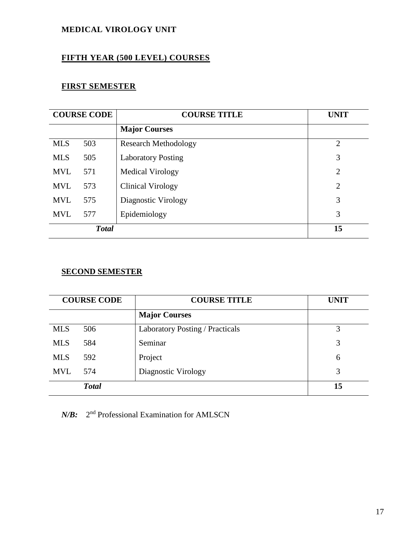## **MEDICAL VIROLOGY UNIT**

## **FIFTH YEAR (500 LEVEL) COURSES**

## **FIRST SEMESTER**

| <b>COURSE CODE</b> |              | <b>COURSE TITLE</b>         | <b>UNIT</b>    |
|--------------------|--------------|-----------------------------|----------------|
|                    |              | <b>Major Courses</b>        |                |
| <b>MLS</b>         | 503          | <b>Research Methodology</b> | $\overline{2}$ |
| <b>MLS</b>         | 505          | <b>Laboratory Posting</b>   | 3              |
| <b>MVL</b>         | 571          | Medical Virology            | $\overline{2}$ |
| <b>MVL</b>         | 573          | Clinical Virology           | $\overline{2}$ |
| <b>MVL</b>         | 575          | Diagnostic Virology         | 3              |
| <b>MVL</b>         | 577          | Epidemiology                | 3              |
|                    | <b>Total</b> |                             | 15             |

## **SECOND SEMESTER**

| <b>COURSE CODE</b> |              | <b>COURSE TITLE</b>             | <b>UNIT</b> |
|--------------------|--------------|---------------------------------|-------------|
|                    |              | <b>Major Courses</b>            |             |
| <b>MLS</b>         | 506          | Laboratory Posting / Practicals | 3           |
| <b>MLS</b>         | 584          | Seminar                         | 3           |
| <b>MLS</b>         | 592          | Project                         | 6           |
| <b>MVL</b>         | 574          | Diagnostic Virology             | 3           |
|                    | <b>Total</b> |                                 | 15          |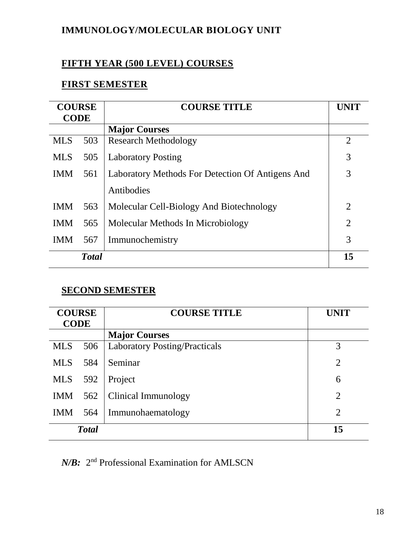## **IMMUNOLOGY/MOLECULAR BIOLOGY UNIT**

## **FIFTH YEAR (500 LEVEL) COURSES**

## **FIRST SEMESTER**

| <b>COURSE</b><br><b>CODE</b> |                                                         | <b>COURSE TITLE</b>                      |                |
|------------------------------|---------------------------------------------------------|------------------------------------------|----------------|
|                              |                                                         | <b>Major Courses</b>                     |                |
| <b>MLS</b>                   | 503                                                     | <b>Research Methodology</b>              | $\overline{2}$ |
| <b>MLS</b>                   | 505                                                     | <b>Laboratory Posting</b>                | 3              |
| <b>IMM</b>                   | Laboratory Methods For Detection Of Antigens And<br>561 |                                          | 3              |
|                              |                                                         | Antibodies                               |                |
| <b>IMM</b>                   | 563                                                     | Molecular Cell-Biology And Biotechnology | $\overline{2}$ |
| <b>IMM</b>                   | 565                                                     | Molecular Methods In Microbiology        | $\overline{2}$ |
| <b>IMM</b>                   | 567                                                     | Immunochemistry                          | 3              |
|                              | <b>Total</b>                                            |                                          | 15             |

## **SECOND SEMESTER**

| <b>COURSE</b> |     | <b>COURSE TITLE</b>                  | <b>UNIT</b>    |
|---------------|-----|--------------------------------------|----------------|
| <b>CODE</b>   |     |                                      |                |
|               |     | <b>Major Courses</b>                 |                |
| <b>MLS</b>    | 506 | <b>Laboratory Posting/Practicals</b> | 3              |
| <b>MLS</b>    | 584 | Seminar                              | $\overline{2}$ |
| <b>MLS</b>    | 592 | Project                              | 6              |
| <b>IMM</b>    | 562 | Clinical Immunology                  | $\overline{2}$ |
| <b>IMM</b>    | 564 | Immunohaematology                    | $\overline{2}$ |
| <b>Total</b>  |     |                                      | 15             |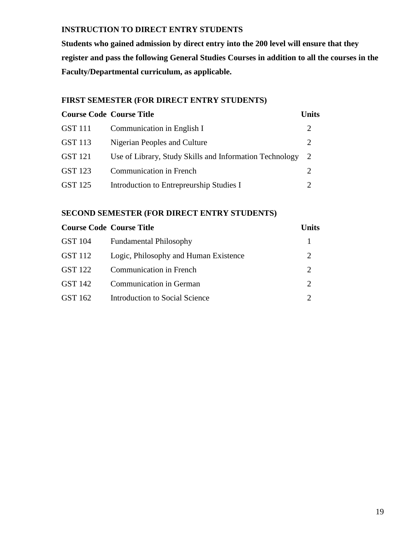## **INSTRUCTION TO DIRECT ENTRY STUDENTS**

**Students who gained admission by direct entry into the 200 level will ensure that they register and pass the following General Studies Courses in addition to all the courses in the Faculty/Departmental curriculum, as applicable.**

## **FIRST SEMESTER (FOR DIRECT ENTRY STUDENTS)**

|                | <b>Course Code Course Title</b>                         | <b>Units</b>                |
|----------------|---------------------------------------------------------|-----------------------------|
| <b>GST</b> 111 | Communication in English I                              | 2                           |
| GST 113        | Nigerian Peoples and Culture                            | 2                           |
| <b>GST 121</b> | Use of Library, Study Skills and Information Technology | <sup>2</sup>                |
| GST 123        | <b>Communication in French</b>                          | $\mathcal{D}_{\cdot}$       |
| GST 125        | Introduction to Entrepreurship Studies I                | $\mathcal{D}_{\mathcal{L}}$ |

### **SECOND SEMESTER (FOR DIRECT ENTRY STUDENTS)**

|         | <b>Course Code Course Title</b>       | <b>Units</b>          |
|---------|---------------------------------------|-----------------------|
| GST 104 | <b>Fundamental Philosophy</b>         |                       |
| GST 112 | Logic, Philosophy and Human Existence | 2                     |
| GST 122 | <b>Communication in French</b>        | $\mathcal{D}_{\cdot}$ |
| GST 142 | <b>Communication in German</b>        | $\mathcal{D}_{\cdot}$ |
| GST 162 | Introduction to Social Science        |                       |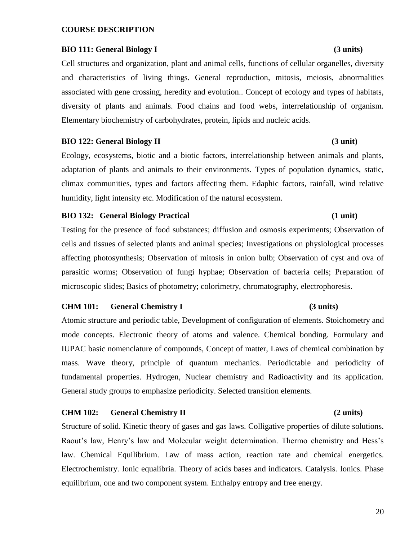#### **COURSE DESCRIPTION**

#### **BIO 111: General Biology I (3 units)**

Cell structures and organization, plant and animal cells, functions of cellular organelles, diversity and characteristics of living things. General reproduction, mitosis, meiosis, abnormalities associated with gene crossing, heredity and evolution.. Concept of ecology and types of habitats, diversity of plants and animals. Food chains and food webs, interrelationship of organism. Elementary biochemistry of carbohydrates, protein, lipids and nucleic acids.

#### **BIO 122: General Biology II** (3 unit)

Ecology, ecosystems, biotic and a biotic factors, interrelationship between animals and plants, adaptation of plants and animals to their environments. Types of population dynamics, static, climax communities, types and factors affecting them. Edaphic factors, rainfall, wind relative humidity, light intensity etc. Modification of the natural ecosystem.

#### **BIO 132: General Biology Practical (1 unit)**

Testing for the presence of food substances; diffusion and osmosis experiments; Observation of cells and tissues of selected plants and animal species; Investigations on physiological processes affecting photosynthesis; Observation of mitosis in onion bulb; Observation of cyst and ova of parasitic worms; Observation of fungi hyphae; Observation of bacteria cells; Preparation of microscopic slides; Basics of photometry; colorimetry, chromatography, electrophoresis.

#### **CHM 101: General Chemistry I (3 units)**

Atomic structure and periodic table, Development of configuration of elements. Stoichometry and mode concepts. Electronic theory of atoms and valence. Chemical bonding. Formulary and IUPAC basic nomenclature of compounds, Concept of matter, Laws of chemical combination by mass. Wave theory, principle of quantum mechanics. Periodictable and periodicity of fundamental properties. Hydrogen, Nuclear chemistry and Radioactivity and its application. General study groups to emphasize periodicity. Selected transition elements.

#### **CHM 102: General Chemistry II (2 units)**

Structure of solid. Kinetic theory of gases and gas laws. Colligative properties of dilute solutions. Raout's law, Henry's law and Molecular weight determination. Thermo chemistry and Hess's law. Chemical Equilibrium. Law of mass action, reaction rate and chemical energetics. Electrochemistry. Ionic equalibria. Theory of acids bases and indicators. Catalysis. Ionics. Phase equilibrium, one and two component system. Enthalpy entropy and free energy.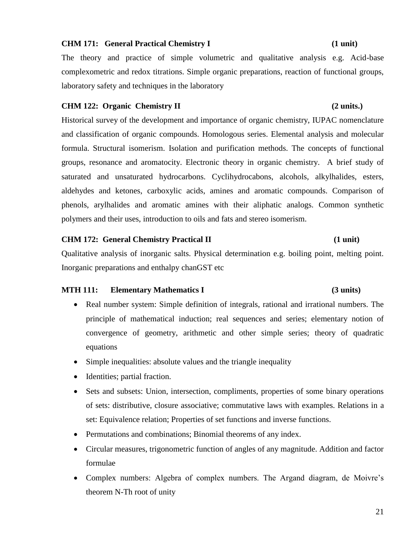### **CHM 171: General Practical Chemistry I (1 unit)**

The theory and practice of simple volumetric and qualitative analysis e.g. Acid-base complexometric and redox titrations. Simple organic preparations, reaction of functional groups, laboratory safety and techniques in the laboratory

### **CHM 122: Organic Chemistry II (2 units.)**

Historical survey of the development and importance of organic chemistry, IUPAC nomenclature and classification of organic compounds. Homologous series. Elemental analysis and molecular formula. Structural isomerism. Isolation and purification methods. The concepts of functional groups, resonance and aromatocity. Electronic theory in organic chemistry. A brief study of saturated and unsaturated hydrocarbons. Cyclihydrocabons, alcohols, alkylhalides, esters, aldehydes and ketones, carboxylic acids, amines and aromatic compounds. Comparison of phenols, arylhalides and aromatic amines with their aliphatic analogs. Common synthetic polymers and their uses, introduction to oils and fats and stereo isomerism.

#### **CHM 172: General Chemistry Practical II (1 unit)**

Qualitative analysis of inorganic salts. Physical determination e.g. boiling point, melting point. Inorganic preparations and enthalpy chanGST etc

#### **MTH 111: Elementary Mathematics I (3 units)**

- Real number system: Simple definition of integrals, rational and irrational numbers. The principle of mathematical induction; real sequences and series; elementary notion of convergence of geometry, arithmetic and other simple series; theory of quadratic equations
- Simple inequalities: absolute values and the triangle inequality
- Identities; partial fraction.
- Sets and subsets: Union, intersection, compliments, properties of some binary operations of sets: distributive, closure associative; commutative laws with examples. Relations in a set: Equivalence relation; Properties of set functions and inverse functions.
- Permutations and combinations; Binomial theorems of any index.
- Circular measures, trigonometric function of angles of any magnitude. Addition and factor formulae
- Complex numbers: Algebra of complex numbers. The Argand diagram, de Moivre's theorem N-Th root of unity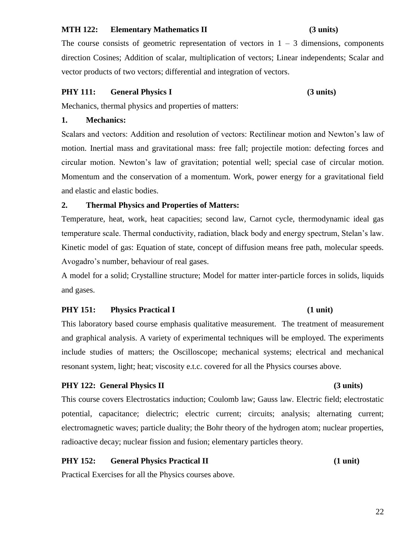### **MTH 122: Elementary Mathematics II (3 units)**

The course consists of geometric representation of vectors in  $1 - 3$  dimensions, components direction Cosines; Addition of scalar, multiplication of vectors; Linear independents; Scalar and vector products of two vectors; differential and integration of vectors.

### **PHY 111: General Physics I (3 units)**

Mechanics, thermal physics and properties of matters:

### **1. Mechanics:**

Scalars and vectors: Addition and resolution of vectors: Rectilinear motion and Newton's law of motion. Inertial mass and gravitational mass: free fall; projectile motion: defecting forces and circular motion. Newton's law of gravitation; potential well; special case of circular motion. Momentum and the conservation of a momentum. Work, power energy for a gravitational field and elastic and elastic bodies.

### **2. Thermal Physics and Properties of Matters:**

Temperature, heat, work, heat capacities; second law, Carnot cycle, thermodynamic ideal gas temperature scale. Thermal conductivity, radiation, black body and energy spectrum, Stelan's law. Kinetic model of gas: Equation of state, concept of diffusion means free path, molecular speeds. Avogadro's number, behaviour of real gases.

A model for a solid; Crystalline structure; Model for matter inter-particle forces in solids, liquids and gases.

### **PHY 151:** Physics Practical I (1 unit)

This laboratory based course emphasis qualitative measurement. The treatment of measurement and graphical analysis. A variety of experimental techniques will be employed. The experiments include studies of matters; the Oscilloscope; mechanical systems; electrical and mechanical resonant system, light; heat; viscosity e.t.c. covered for all the Physics courses above.

### PHY 122: General Physics II (3 units)

This course covers Electrostatics induction; Coulomb law; Gauss law. Electric field; electrostatic potential, capacitance; dielectric; electric current; circuits; analysis; alternating current; electromagnetic waves; particle duality; the Bohr theory of the hydrogen atom; nuclear properties, radioactive decay; nuclear fission and fusion; elementary particles theory.

### **PHY 152:** General Physics Practical II (1 unit)

Practical Exercises for all the Physics courses above.

#### 22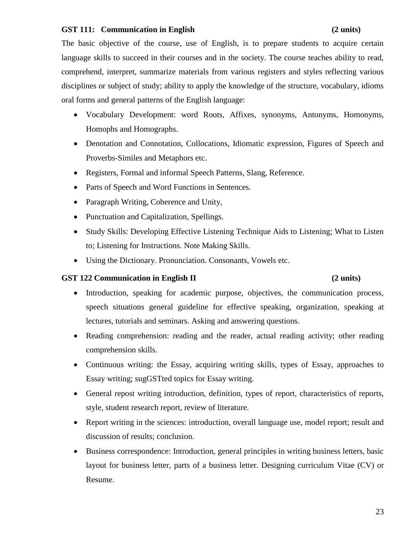### **GST 111: Communication in English (2 units)**

The basic objective of the course, use of English, is to prepare students to acquire certain language skills to succeed in their courses and in the society. The course teaches ability to read, comprehend, interpret, summarize materials from various registers and styles reflecting various disciplines or subject of study; ability to apply the knowledge of the structure, vocabulary, idioms oral forms and general patterns of the English language:

- Vocabulary Development: word Roots, Affixes, synonyms, Antonyms, Homonyms, Homophs and Homographs.
- Denotation and Connotation, Collocations, Idiomatic expression, Figures of Speech and Proverbs-Similes and Metaphors etc.
- Registers, Formal and informal Speech Patterns, Slang, Reference.
- Parts of Speech and Word Functions in Sentences.
- Paragraph Writing, Coherence and Unity,
- Punctuation and Capitalization, Spellings.
- Study Skills: Developing Effective Listening Technique Aids to Listening; What to Listen to; Listening for Instructions. Note Making Skills.
- Using the Dictionary. Pronunciation. Consonants, Vowels etc.

### **GST 122 Communication in English II (2 units)**

- Introduction, speaking for academic purpose, objectives, the communication process, speech situations general guideline for effective speaking, organization, speaking at lectures, tutorials and seminars. Asking and answering questions.
- Reading comprehension: reading and the reader, actual reading activity; other reading comprehension skills.
- Continuous writing: the Essay, acquiring writing skills, types of Essay, approaches to Essay writing; sugGSTted topics for Essay writing.
- General repost writing introduction, definition, types of report, characteristics of reports, style, student research report, review of literature.
- Report writing in the sciences: introduction, overall language use, model report; result and discussion of results; conclusion.
- Business correspondence: Introduction, general principles in writing business letters, basic layout for business letter, parts of a business letter. Designing curriculum Vitae (CV) or Resume.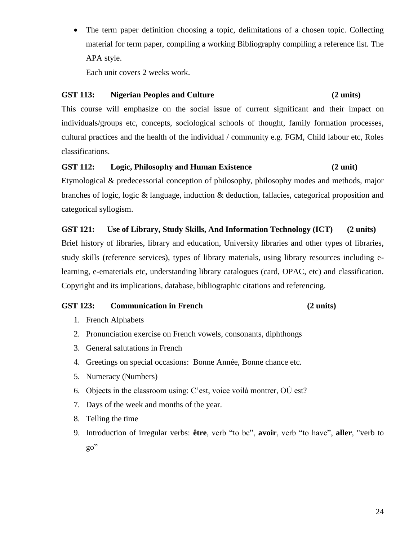• The term paper definition choosing a topic, delimitations of a chosen topic. Collecting material for term paper, compiling a working Bibliography compiling a reference list. The APA style.

Each unit covers 2 weeks work.

### **GST 113: Nigerian Peoples and Culture (2 units)**

This course will emphasize on the social issue of current significant and their impact on individuals/groups etc, concepts, sociological schools of thought, family formation processes, cultural practices and the health of the individual / community e.g. FGM, Child labour etc, Roles classifications.

### **GST 112: Logic, Philosophy and Human Existence (2 unit)**

Etymological & predecessorial conception of philosophy, philosophy modes and methods, major branches of logic, logic & language, induction & deduction, fallacies, categorical proposition and categorical syllogism.

### **GST 121: Use of Library, Study Skills, And Information Technology (ICT) (2 units)**

Brief history of libraries, library and education, University libraries and other types of libraries, study skills (reference services), types of library materials, using library resources including elearning, e-ematerials etc, understanding library catalogues (card, OPAC, etc) and classification. Copyright and its implications, database, bibliographic citations and referencing.

### **GST 123: Communication in French (2 units)**

- 1. French Alphabets
- 2. Pronunciation exercise on French vowels, consonants, diphthongs
- 3. General salutations in French
- 4. Greetings on special occasions: Bonne Année, Bonne chance etc.
- 5. Numeracy (Numbers)
- 6. Objects in the classroom using: C'est, voice voilà montrer, OÙ est?
- 7. Days of the week and months of the year.
- 8. Telling the time
- 9. Introduction of irregular verbs: **être**, verb "to be", **avoir**, verb "to have", **aller**, "verb to go"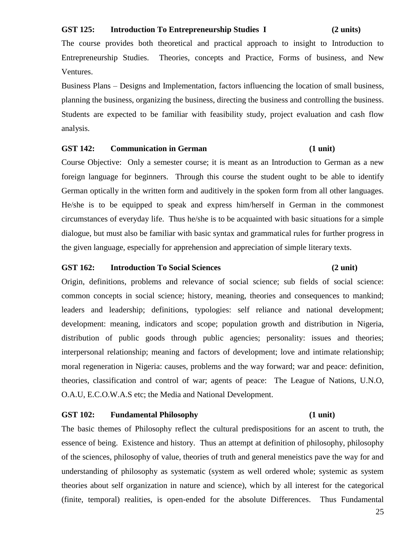#### **GST 125: Introduction To Entrepreneurship Studies I (2 units)**

The course provides both theoretical and practical approach to insight to Introduction to Entrepreneurship Studies. Theories, concepts and Practice, Forms of business, and New Ventures.

Business Plans – Designs and Implementation, factors influencing the location of small business, planning the business, organizing the business, directing the business and controlling the business. Students are expected to be familiar with feasibility study, project evaluation and cash flow analysis.

#### **GST 142: Communication in German (1 unit)**

Course Objective: Only a semester course; it is meant as an Introduction to German as a new foreign language for beginners. Through this course the student ought to be able to identify German optically in the written form and auditively in the spoken form from all other languages. He/she is to be equipped to speak and express him/herself in German in the commonest circumstances of everyday life. Thus he/she is to be acquainted with basic situations for a simple dialogue, but must also be familiar with basic syntax and grammatical rules for further progress in the given language, especially for apprehension and appreciation of simple literary texts.

#### **GST 162: Introduction To Social Sciences (2 unit)**

Origin, definitions, problems and relevance of social science; sub fields of social science: common concepts in social science; history, meaning, theories and consequences to mankind; leaders and leadership; definitions, typologies: self reliance and national development; development: meaning, indicators and scope; population growth and distribution in Nigeria, distribution of public goods through public agencies; personality: issues and theories; interpersonal relationship; meaning and factors of development; love and intimate relationship; moral regeneration in Nigeria: causes, problems and the way forward; war and peace: definition, theories, classification and control of war; agents of peace: The League of Nations, U.N.O, O.A.U, E.C.O.W.A.S etc; the Media and National Development.

#### **GST 102: Fundamental Philosophy (1 unit)**

## The basic themes of Philosophy reflect the cultural predispositions for an ascent to truth, the essence of being. Existence and history. Thus an attempt at definition of philosophy, philosophy of the sciences, philosophy of value, theories of truth and general meneistics pave the way for and understanding of philosophy as systematic (system as well ordered whole; systemic as system theories about self organization in nature and science), which by all interest for the categorical (finite, temporal) realities, is open-ended for the absolute Differences. Thus Fundamental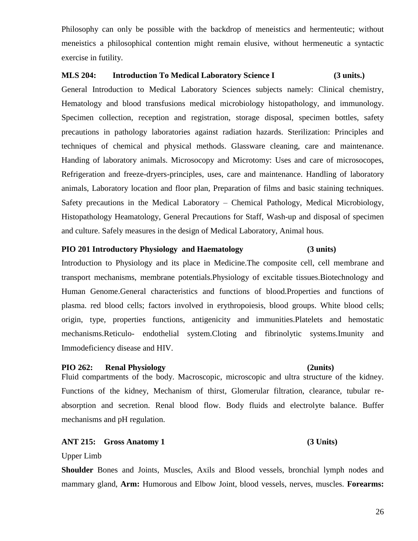Philosophy can only be possible with the backdrop of meneistics and hermenteutic; without meneistics a philosophical contention might remain elusive, without hermeneutic a syntactic exercise in futility.

#### **MLS 204: Introduction To Medical Laboratory Science I (3 units.)**

General Introduction to Medical Laboratory Sciences subjects namely: Clinical chemistry, Hematology and blood transfusions medical microbiology histopathology, and immunology. Specimen collection, reception and registration, storage disposal, specimen bottles, safety precautions in pathology laboratories against radiation hazards. Sterilization: Principles and techniques of chemical and physical methods. Glassware cleaning, care and maintenance. Handing of laboratory animals. Microsocopy and Microtomy: Uses and care of microsocopes, Refrigeration and freeze-dryers-principles, uses, care and maintenance. Handling of laboratory animals, Laboratory location and floor plan, Preparation of films and basic staining techniques. Safety precautions in the Medical Laboratory – Chemical Pathology, Medical Microbiology, Histopathology Heamatology, General Precautions for Staff, Wash-up and disposal of specimen and culture. Safely measures in the design of Medical Laboratory, Animal hous.

#### **PIO 201 Introductory Physiology and Haematology (3 units)**

Introduction to Physiology and its place in Medicine.The composite cell, cell membrane and transport mechanisms, membrane potentials.Physiology of excitable tissues.Biotechnology and Human Genome.General characteristics and functions of blood.Properties and functions of plasma. red blood cells; factors involved in erythropoiesis, blood groups. White blood cells; origin, type, properties functions, antigenicity and immunities.Platelets and hemostatic mechanisms.Reticulo- endothelial system.Cloting and fibrinolytic systems.Imunity and Immodeficiency disease and HIV.

#### **PIO 262: Renal Physiology (2units)**

Fluid compartments of the body. Macroscopic, microscopic and ultra structure of the kidney. Functions of the kidney, Mechanism of thirst, Glomerular filtration, clearance, tubular reabsorption and secretion. Renal blood flow. Body fluids and electrolyte balance. Buffer mechanisms and pH regulation.

#### **ANT 215: Gross Anatomy 1 (3 Units)**

Upper Limb

**Shoulder** Bones and Joints, Muscles, Axils and Blood vessels, bronchial lymph nodes and mammary gland, **Arm:** Humorous and Elbow Joint, blood vessels, nerves, muscles. **Forearms:**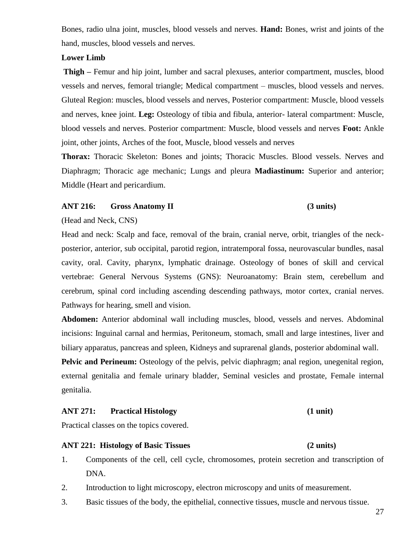hand, muscles, blood vessels and nerves. **Lower Limb**

**Thigh –** Femur and hip joint, lumber and sacral plexuses, anterior compartment, muscles, blood vessels and nerves, femoral triangle; Medical compartment – muscles, blood vessels and nerves. Gluteal Region: muscles, blood vessels and nerves, Posterior compartment: Muscle, blood vessels and nerves, knee joint. **Leg:** Osteology of tibia and fibula, anterior- lateral compartment: Muscle, blood vessels and nerves. Posterior compartment: Muscle, blood vessels and nerves **Foot:** Ankle joint, other joints, Arches of the foot, Muscle, blood vessels and nerves

Bones, radio ulna joint, muscles, blood vessels and nerves. **Hand:** Bones, wrist and joints of the

**Thorax:** Thoracic Skeleton: Bones and joints; Thoracic Muscles. Blood vessels. Nerves and Diaphragm; Thoracic age mechanic; Lungs and pleura **Madiastinum:** Superior and anterior; Middle (Heart and pericardium.

#### **ANT 216: Gross Anatomy II (3 units)**

#### (Head and Neck, CNS)

Head and neck: Scalp and face, removal of the brain, cranial nerve, orbit, triangles of the neckposterior, anterior, sub occipital, parotid region, intratemporal fossa, neurovascular bundles, nasal cavity, oral. Cavity, pharynx, lymphatic drainage. Osteology of bones of skill and cervical vertebrae: General Nervous Systems (GNS): Neuroanatomy: Brain stem, cerebellum and cerebrum, spinal cord including ascending descending pathways, motor cortex, cranial nerves. Pathways for hearing, smell and vision.

**Abdomen:** Anterior abdominal wall including muscles, blood, vessels and nerves. Abdominal incisions: Inguinal carnal and hermias, Peritoneum, stomach, small and large intestines, liver and biliary apparatus, pancreas and spleen, Kidneys and suprarenal glands, posterior abdominal wall.

**Pelvic and Perineum:** Osteology of the pelvis, pelvic diaphragm; anal region, unegenital region, external genitalia and female urinary bladder, Seminal vesicles and prostate, Female internal genitalia.

#### **ANT 271: Practical Histology (1 unit)**

#### Practical classes on the topics covered.

#### **ANT 221: Histology of Basic Tissues (2 units)**

- 1. Components of the cell, cell cycle, chromosomes, protein secretion and transcription of DNA.
- 2. Introduction to light microscopy, electron microscopy and units of measurement.
- 3. Basic tissues of the body, the epithelial, connective tissues, muscle and nervous tissue.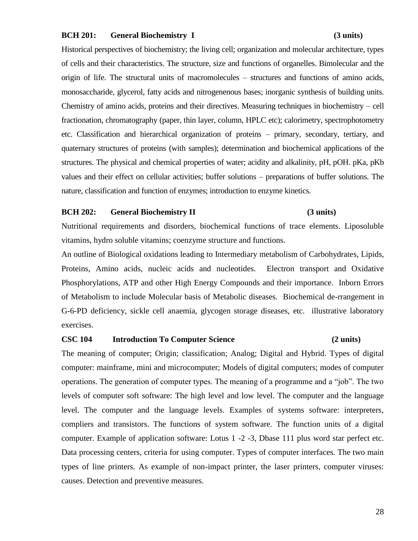#### **BCH 201: General Biochemistry I (3 units)**

## Historical perspectives of biochemistry; the living cell; organization and molecular architecture, types of cells and their characteristics. The structure, size and functions of organelles. Bimolecular and the origin of life. The structural units of macromolecules – structures and functions of amino acids, monosaccharide, glycerol, fatty acids and nitrogenenous bases; inorganic synthesis of building units. Chemistry of amino acids, proteins and their directives. Measuring techniques in biochemistry – cell fractionation, chromatography (paper, thin layer, column, HPLC etc); calorimetry, spectrophotometry etc. Classification and hierarchical organization of proteins – primary, secondary, tertiary, and quaternary structures of proteins (with samples); determination and biochemical applications of the structures. The physical and chemical properties of water; acidity and alkalinity, pH, pOH. pKa, pKb values and their effect on cellular activities; buffer solutions – preparations of buffer solutions. The nature, classification and function of enzymes; introduction to enzyme kinetics.

#### **BCH 202: General Biochemistry II (3 units)**

Nutritional requirements and disorders, biochemical functions of trace elements. Liposoluble vitamins, hydro soluble vitamins; coenzyme structure and functions.

An outline of Biological oxidations leading to Intermediary metabolism of Carbohydrates, Lipids, Proteins, Amino acids, nucleic acids and nucleotides. Electron transport and Oxidative Phosphorylations, ATP and other High Energy Compounds and their importance. Inborn Errors of Metabolism to include Molecular basis of Metabolic diseases. Biochemical de-rrangement in G-6-PD deficiency, sickle cell anaemia, glycogen storage diseases, etc. illustrative laboratory exercises.

### **CSC 104 Introduction To Computer Science (2 units)**

The meaning of computer; Origin; classification; Analog; Digital and Hybrid. Types of digital computer: mainframe, mini and microcomputer; Models of digital computers; modes of computer operations. The generation of computer types. The meaning of a programme and a "job". The two levels of computer soft software: The high level and low level. The computer and the language level. The computer and the language levels. Examples of systems software: interpreters, compliers and transistors. The functions of system software. The function units of a digital computer. Example of application software: Lotus 1 -2 -3, Dbase 111 plus word star perfect etc. Data processing centers, criteria for using computer. Types of computer interfaces. The two main types of line printers. As example of non-impact printer, the laser printers, computer viruses: causes. Detection and preventive measures.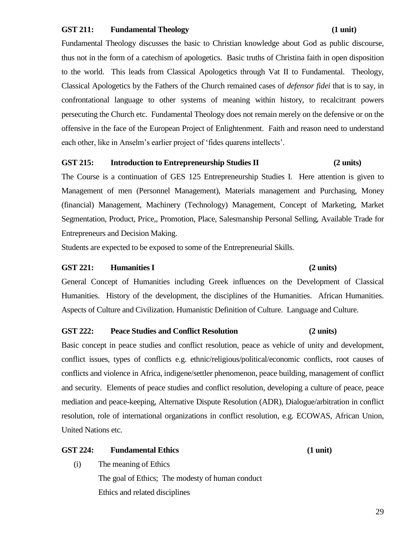#### **GST 211: Fundamental Theology (1 unit)**

## Fundamental Theology discusses the basic to Christian knowledge about God as public discourse, thus not in the form of a catechism of apologetics. Basic truths of Christina faith in open disposition to the world. This leads from Classical Apologetics through Vat II to Fundamental. Theology, Classical Apologetics by the Fathers of the Church remained cases of *defensor fidei* that is to say, in confrontational language to other systems of meaning within history, to recalcitrant powers persecuting the Church etc. Fundamental Theology does not remain merely on the defensive or on the offensive in the face of the European Project of Enlightenment. Faith and reason need to understand each other, like in Anselm's earlier project of 'fides quarens intellects'.

#### **GST 215: Introduction to Entrepreneurship Studies II (2 units)**

The Course is a continuation of GES 125 Entrepreneurship Studies I. Here attention is given to Management of men (Personnel Management), Materials management and Purchasing, Money (financial) Management, Machinery (Technology) Management, Concept of Marketing, Market Segmentation, Product, Price,, Promotion, Place, Salesmanship Personal Selling, Available Trade for Entrepreneurs and Decision Making.

Students are expected to be exposed to some of the Entrepreneurial Skills.

#### **GST 221: Humanities I (2 units)**

General Concept of Humanities including Greek influences on the Development of Classical Humanities. History of the development, the disciplines of the Humanities. African Humanities. Aspects of Culture and Civilization. Humanistic Definition of Culture. Language and Culture.

### **GST 222: Peace Studies and Conflict Resolution (2 units)**

Basic concept in peace studies and conflict resolution, peace as vehicle of unity and development, conflict issues, types of conflicts e.g. ethnic/religious/political/economic conflicts, root causes of conflicts and violence in Africa, indigene/settler phenomenon, peace building, management of conflict and security. Elements of peace studies and conflict resolution, developing a culture of peace, peace mediation and peace-keeping, Alternative Dispute Resolution (ADR), Dialogue/arbitration in conflict resolution, role of international organizations in conflict resolution, e.g. ECOWAS, African Union, United Nations etc.

#### **GST 224: Fundamental Ethics (1 unit)**

(i) The meaning of Ethics

The goal of Ethics; The modesty of human conduct Ethics and related disciplines

#### 29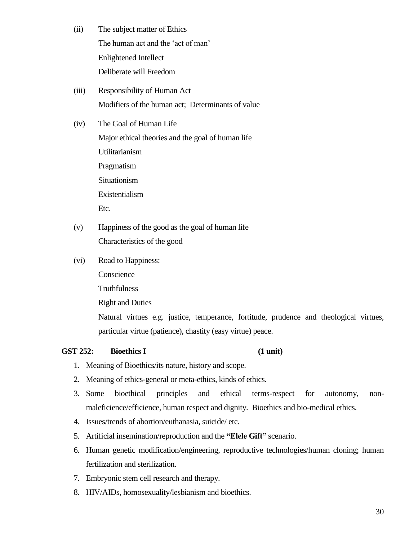- (ii) The subject matter of Ethics The human act and the 'act of man' Enlightened Intellect Deliberate will Freedom
- (iii) Responsibility of Human Act Modifiers of the human act; Determinants of value
- (iv) The Goal of Human Life Major ethical theories and the goal of human life Utilitarianism Pragmatism Situationism Existentialism Etc.
- (v) Happiness of the good as the goal of human life Characteristics of the good
- (vi) Road to Happiness:
	- Conscience
	- Truthfulness

Right and Duties

Natural virtues e.g. justice, temperance, fortitude, prudence and theological virtues, particular virtue (patience), chastity (easy virtue) peace.

#### **GST 252: Bioethics I (1 unit)**

- 1. Meaning of Bioethics/its nature, history and scope.
- 2. Meaning of ethics-general or meta-ethics, kinds of ethics.
- 3. Some bioethical principles and ethical terms-respect for autonomy, nonmaleficience/efficience, human respect and dignity. Bioethics and bio-medical ethics.
- 4. Issues/trends of abortion/euthanasia, suicide/ etc.
- 5. Artificial insemination/reproduction and the **"Elele Gift"** scenario.
- 6. Human genetic modification/engineering, reproductive technologies/human cloning; human fertilization and sterilization.
- 7. Embryonic stem cell research and therapy.
- 8. HIV/AIDs, homosexuality/lesbianism and bioethics.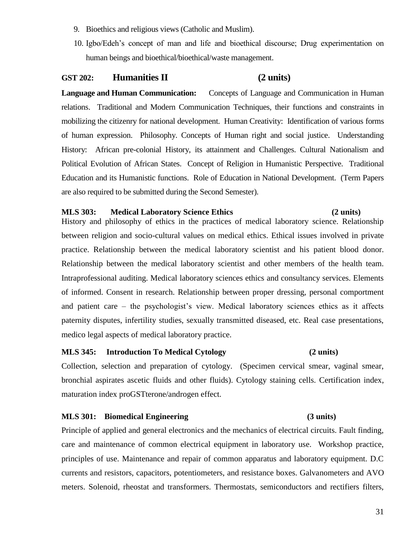- 9. Bioethics and religious views (Catholic and Muslim).
- 10. Igbo/Edeh's concept of man and life and bioethical discourse; Drug experimentation on human beings and bioethical/bioethical/waste management.

### **GST 202: Humanities II (2 units)**

**Language and Human Communication:** Concepts of Language and Communication in Human relations. Traditional and Modern Communication Techniques, their functions and constraints in mobilizing the citizenry for national development. Human Creativity: Identification of various forms of human expression. Philosophy. Concepts of Human right and social justice. Understanding History: African pre-colonial History, its attainment and Challenges. Cultural Nationalism and Political Evolution of African States. Concept of Religion in Humanistic Perspective. Traditional Education and its Humanistic functions. Role of Education in National Development. (Term Papers are also required to be submitted during the Second Semester).

#### **MLS 303: Medical Laboratory Science Ethics (2 units)**

History and philosophy of ethics in the practices of medical laboratory science. Relationship between religion and socio-cultural values on medical ethics. Ethical issues involved in private practice. Relationship between the medical laboratory scientist and his patient blood donor. Relationship between the medical laboratory scientist and other members of the health team. Intraprofessional auditing. Medical laboratory sciences ethics and consultancy services. Elements of informed. Consent in research. Relationship between proper dressing, personal comportment and patient care – the psychologist's view. Medical laboratory sciences ethics as it affects paternity disputes, infertility studies, sexually transmitted diseased, etc. Real case presentations, medico legal aspects of medical laboratory practice.

### **MLS 345: Introduction To Medical Cytology (2 units)**

Collection, selection and preparation of cytology. (Specimen cervical smear, vaginal smear, bronchial aspirates ascetic fluids and other fluids). Cytology staining cells. Certification index, maturation index proGSTterone/androgen effect.

#### **MLS 301: Biomedical Engineering (3 units)**

Principle of applied and general electronics and the mechanics of electrical circuits. Fault finding, care and maintenance of common electrical equipment in laboratory use. Workshop practice, principles of use. Maintenance and repair of common apparatus and laboratory equipment. D.C currents and resistors, capacitors, potentiometers, and resistance boxes. Galvanometers and AVO meters. Solenoid, rheostat and transformers. Thermostats, semiconductors and rectifiers filters,

#### 31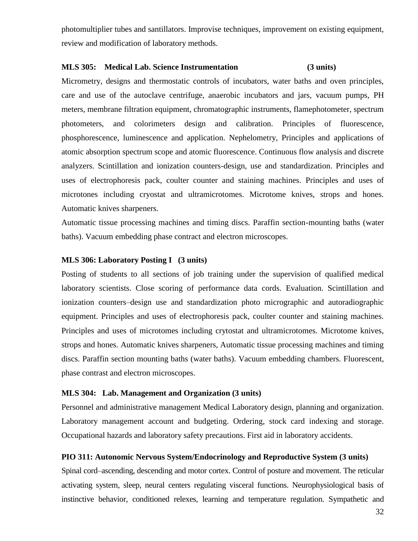photomultiplier tubes and santillators. Improvise techniques, improvement on existing equipment, review and modification of laboratory methods.

#### **MLS 305: Medical Lab. Science Instrumentation (3 units)**

Micrometry, designs and thermostatic controls of incubators, water baths and oven principles, care and use of the autoclave centrifuge, anaerobic incubators and jars, vacuum pumps, PH meters, membrane filtration equipment, chromatographic instruments, flamephotometer, spectrum photometers, and colorimeters design and calibration. Principles of fluorescence, phosphorescence, luminescence and application. Nephelometry, Principles and applications of atomic absorption spectrum scope and atomic fluorescence. Continuous flow analysis and discrete analyzers. Scintillation and ionization counters-design, use and standardization. Principles and uses of electrophoresis pack, coulter counter and staining machines. Principles and uses of microtones including cryostat and ultramicrotomes. Microtome knives, strops and hones. Automatic knives sharpeners.

Automatic tissue processing machines and timing discs. Paraffin section-mounting baths (water baths). Vacuum embedding phase contract and electron microscopes.

#### **MLS 306: Laboratory Posting I (3 units)**

Posting of students to all sections of job training under the supervision of qualified medical laboratory scientists. Close scoring of performance data cords. Evaluation. Scintillation and ionization counters–design use and standardization photo micrographic and autoradiographic equipment. Principles and uses of electrophoresis pack, coulter counter and staining machines. Principles and uses of microtomes including crytostat and ultramicrotomes. Microtome knives, strops and hones. Automatic knives sharpeners, Automatic tissue processing machines and timing discs. Paraffin section mounting baths (water baths). Vacuum embedding chambers. Fluorescent, phase contrast and electron microscopes.

#### **MLS 304: Lab. Management and Organization (3 units)**

Personnel and administrative management Medical Laboratory design, planning and organization. Laboratory management account and budgeting. Ordering, stock card indexing and storage. Occupational hazards and laboratory safety precautions. First aid in laboratory accidents.

#### **PIO 311: Autonomic Nervous System/Endocrinology and Reproductive System (3 units)**

Spinal cord–ascending, descending and motor cortex. Control of posture and movement. The reticular activating system, sleep, neural centers regulating visceral functions. Neurophysiological basis of instinctive behavior, conditioned relexes, learning and temperature regulation. Sympathetic and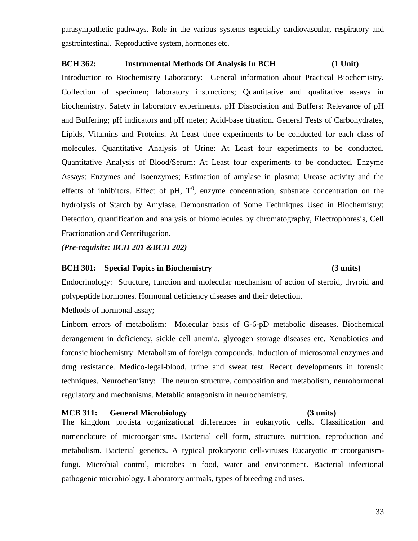parasympathetic pathways. Role in the various systems especially cardiovascular, respiratory and gastrointestinal. Reproductive system, hormones etc.

### **BCH 362: Instrumental Methods Of Analysis In BCH (1 Unit)**

Introduction to Biochemistry Laboratory: General information about Practical Biochemistry. Collection of specimen; laboratory instructions; Quantitative and qualitative assays in biochemistry. Safety in laboratory experiments. pH Dissociation and Buffers: Relevance of pH and Buffering; pH indicators and pH meter; Acid-base titration. General Tests of Carbohydrates, Lipids, Vitamins and Proteins. At Least three experiments to be conducted for each class of molecules. Quantitative Analysis of Urine: At Least four experiments to be conducted. Quantitative Analysis of Blood/Serum: At Least four experiments to be conducted. Enzyme Assays: Enzymes and Isoenzymes; Estimation of amylase in plasma; Urease activity and the effects of inhibitors. Effect of pH,  $T^0$ , enzyme concentration, substrate concentration on the hydrolysis of Starch by Amylase. Demonstration of Some Techniques Used in Biochemistry: Detection, quantification and analysis of biomolecules by chromatography, Electrophoresis, Cell Fractionation and Centrifugation.

*(Pre-requisite: BCH 201 &BCH 202)*

#### **BCH 301: Special Topics in Biochemistry (3 units)**

Endocrinology: Structure, function and molecular mechanism of action of steroid, thyroid and polypeptide hormones. Hormonal deficiency diseases and their defection.

Methods of hormonal assay;

Linborn errors of metabolism: Molecular basis of G-6-pD metabolic diseases. Biochemical derangement in deficiency, sickle cell anemia, glycogen storage diseases etc. Xenobiotics and forensic biochemistry: Metabolism of foreign compounds. Induction of microsomal enzymes and drug resistance. Medico-legal-blood, urine and sweat test. Recent developments in forensic techniques. Neurochemistry: The neuron structure, composition and metabolism, neurohormonal regulatory and mechanisms. Metablic antagonism in neurochemistry.

#### **MCB 311: General Microbiology (3 units)**

The kingdom protista organizational differences in eukaryotic cells. Classification and nomenclature of microorganisms. Bacterial cell form, structure, nutrition, reproduction and metabolism. Bacterial genetics. A typical prokaryotic cell-viruses Eucaryotic microorganismfungi. Microbial control, microbes in food, water and environment. Bacterial infectional pathogenic microbiology. Laboratory animals, types of breeding and uses.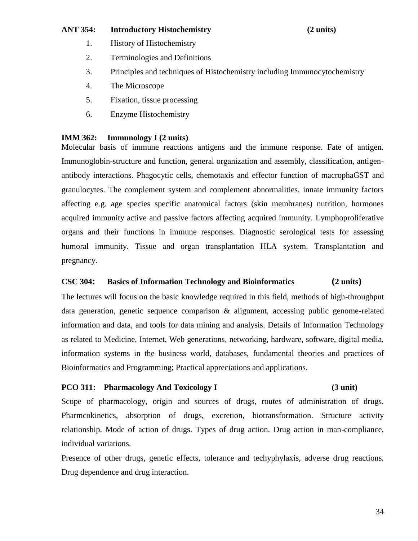#### **ANT 354: Introductory Histochemistry (2 units)**

- 1. History of Histochemistry
- 2. Terminologies and Definitions
- 3. Principles and techniques of Histochemistry including Immunocytochemistry
- 4. The Microscope
- 5. Fixation, tissue processing
- 6. Enzyme Histochemistry

#### **IMM 362: Immunology I (2 units)**

Molecular basis of immune reactions antigens and the immune response. Fate of antigen. Immunoglobin-structure and function, general organization and assembly, classification, antigenantibody interactions. Phagocytic cells, chemotaxis and effector function of macrophaGST and granulocytes. The complement system and complement abnormalities, innate immunity factors affecting e.g. age species specific anatomical factors (skin membranes) nutrition, hormones acquired immunity active and passive factors affecting acquired immunity. Lymphoproliferative organs and their functions in immune responses. Diagnostic serological tests for assessing humoral immunity. Tissue and organ transplantation HLA system. Transplantation and pregnancy.

#### **CSC 304: Basics of Information Technology and Bioinformatics (2 units)**

The lectures will focus on the basic knowledge required in this field, methods of high-throughput data generation, genetic sequence comparison & alignment, accessing public genome-related information and data, and tools for data mining and analysis. Details of Information Technology as related to Medicine, Internet, Web generations, networking, hardware, software, digital media, information systems in the business world, databases, fundamental theories and practices of Bioinformatics and Programming; Practical appreciations and applications.

### **PCO 311: Pharmacology And Toxicology I (3 unit)**

Scope of pharmacology, origin and sources of drugs, routes of administration of drugs. Pharmcokinetics, absorption of drugs, excretion, biotransformation. Structure activity relationship. Mode of action of drugs. Types of drug action. Drug action in man-compliance, individual variations.

Presence of other drugs, genetic effects, tolerance and techyphylaxis, adverse drug reactions. Drug dependence and drug interaction.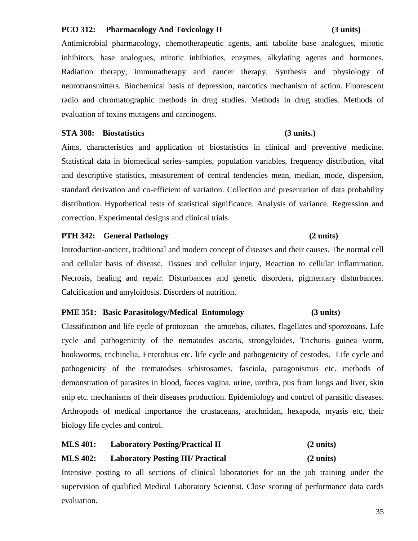#### **PCO 312: Pharmacology And Toxicology II (3 units)**

Antimicrobial pharmacology, chemotherapeutic agents, anti tabolite base analogues, mitotic inhibitors, base analogues, mitotic inhibioties, enzymes, alkylating agents and hormones. Radiation therapy, immunatherapy and cancer therapy. Synthesis and physiology of neurotransmitters. Biochemical basis of depression, narcotics mechanism of action. Fluorescent radio and chromatographic methods in drug studies. Methods in drug studies. Methods of evaluation of toxins mutagens and carcinogens.

#### **STA 308: Biostatistics (3 units.)**

Aims, characteristics and application of biostatistics in clinical and preventive medicine. Statistical data in biomedical series–samples, population variables, frequency distribution, vital and descriptive statistics, measurement of central tendencies mean, median, mode, dispersion, standard derivation and co-efficient of variation. Collection and presentation of data probability distribution. Hypothetical tests of statistical significance. Analysis of variance. Regression and correction. Experimental designs and clinical trials.

### **PTH 342: General Pathology (2 units)**

Introduction-ancient, traditional and modern concept of diseases and their causes. The normal cell and cellular basis of disease. Tissues and cellular injury, Reaction to cellular inflammation, Necrosis, healing and repair. Disturbances and genetic disorders, pigmentary disturbances. Calcification and amyloidosis. Disorders of nutrition.

### **PME 351: Basic Parasitology/Medical Entomology (3 units)**

Classification and life cycle of protozoan– the amoebas, ciliates, flagellates and sporozoans. Life cycle and pathogenicity of the nematodes ascaris, strongyloides, Trichuris guinea worm, hookworms, trichinelia, Enterobius etc. life cycle and pathogenicity of cestodes. Life cycle and pathogenicity of the trematodses schistosomes, fasciola, paragonismus etc. methods of demonstration of parasites in blood, faeces vagina, urine, urethra, pus from lungs and liver, skin snip etc. mechanisms of their diseases production. Epidemiology and control of parasitic diseases. Arthropods of medical importance the crustaceans, arachnidan, hexapoda, myasis etc, their biology life cycles and control.

## **MLS 401: Laboratory Posting/Practical II (2 units) MLS 402: Laboratory Posting III/ Practical (2 units)**

Intensive posting to all sections of clinical laboratories for on the job training under the supervision of qualified Medical Laboratory Scientist. Close scoring of performance data cards evaluation.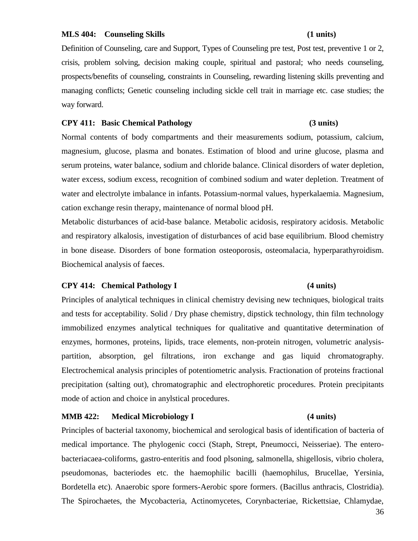#### **MLS 404: Counseling Skills (1 units)**

Definition of Counseling, care and Support, Types of Counseling pre test, Post test, preventive 1 or 2, crisis, problem solving, decision making couple, spiritual and pastoral; who needs counseling, prospects/benefits of counseling, constraints in Counseling, rewarding listening skills preventing and managing conflicts; Genetic counseling including sickle cell trait in marriage etc. case studies; the way forward.

#### **CPY 411: Basic Chemical Pathology (3 units)**

Normal contents of body compartments and their measurements sodium, potassium, calcium, magnesium, glucose, plasma and bonates. Estimation of blood and urine glucose, plasma and serum proteins, water balance, sodium and chloride balance. Clinical disorders of water depletion, water excess, sodium excess, recognition of combined sodium and water depletion. Treatment of water and electrolyte imbalance in infants. Potassium-normal values, hyperkalaemia. Magnesium, cation exchange resin therapy, maintenance of normal blood pH.

Metabolic disturbances of acid-base balance. Metabolic acidosis, respiratory acidosis. Metabolic and respiratory alkalosis, investigation of disturbances of acid base equilibrium. Blood chemistry in bone disease. Disorders of bone formation osteoporosis, osteomalacia, hyperparathyroidism. Biochemical analysis of faeces.

### **CPY 414: Chemical Pathology I (4 units)**

## Principles of analytical techniques in clinical chemistry devising new techniques, biological traits and tests for acceptability. Solid / Dry phase chemistry, dipstick technology, thin film technology immobilized enzymes analytical techniques for qualitative and quantitative determination of enzymes, hormones, proteins, lipids, trace elements, non-protein nitrogen, volumetric analysispartition, absorption, gel filtrations, iron exchange and gas liquid chromatography. Electrochemical analysis principles of potentiometric analysis. Fractionation of proteins fractional precipitation (salting out), chromatographic and electrophoretic procedures. Protein precipitants mode of action and choice in anylstical procedures.

#### **MMB 422: Medical Microbiology I (4 units)**

Principles of bacterial taxonomy, biochemical and serological basis of identification of bacteria of medical importance. The phylogenic cocci (Staph, Strept, Pneumocci, Neisseriae). The enterobacteriacaea-coliforms, gastro-enteritis and food plsoning, salmonella, shigellosis, vibrio cholera, pseudomonas, bacteriodes etc. the haemophilic bacilli (haemophilus, Brucellae, Yersinia, Bordetella etc). Anaerobic spore formers-Aerobic spore formers. (Bacillus anthracis, Clostridia). The Spirochaetes, the Mycobacteria, Actinomycetes, Corynbacteriae, Rickettsiae, Chlamydae,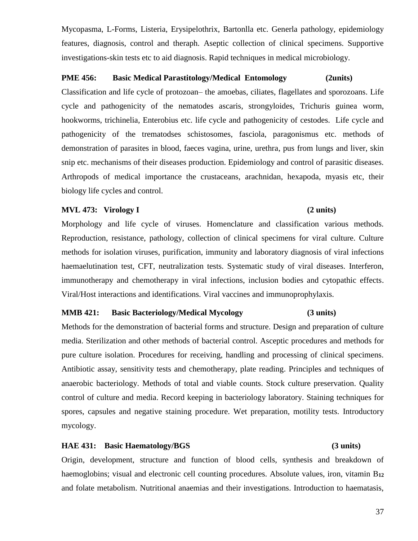Mycopasma, L-Forms, Listeria, Erysipelothrix, Bartonlla etc. Generla pathology, epidemiology features, diagnosis, control and theraph. Aseptic collection of clinical specimens. Supportive investigations-skin tests etc to aid diagnosis. Rapid techniques in medical microbiology.

#### **PME 456: Basic Medical Parastitology/Medical Entomology (2units)**

Classification and life cycle of protozoan– the amoebas, ciliates, flagellates and sporozoans. Life cycle and pathogenicity of the nematodes ascaris, strongyloides, Trichuris guinea worm, hookworms, trichinelia, Enterobius etc. life cycle and pathogenicity of cestodes. Life cycle and pathogenicity of the trematodses schistosomes, fasciola, paragonismus etc. methods of demonstration of parasites in blood, faeces vagina, urine, urethra, pus from lungs and liver, skin snip etc. mechanisms of their diseases production. Epidemiology and control of parasitic diseases. Arthropods of medical importance the crustaceans, arachnidan, hexapoda, myasis etc, their biology life cycles and control.

#### **MVL 473: Virology I (2 units)**

Morphology and life cycle of viruses. Homenclature and classification various methods. Reproduction, resistance, pathology, collection of clinical specimens for viral culture. Culture methods for isolation viruses, purification, immunity and laboratory diagnosis of viral infections haemaelutination test, CFT, neutralization tests. Systematic study of viral diseases. Interferon, immunotherapy and chemotherapy in viral infections, inclusion bodies and cytopathic effects. Viral/Host interactions and identifications. Viral vaccines and immunoprophylaxis.

### **MMB 421: Basic Bacteriology/Medical Mycology (3 units)**

Methods for the demonstration of bacterial forms and structure. Design and preparation of culture media. Sterilization and other methods of bacterial control. Asceptic procedures and methods for pure culture isolation. Procedures for receiving, handling and processing of clinical specimens. Antibiotic assay, sensitivity tests and chemotherapy, plate reading. Principles and techniques of anaerobic bacteriology. Methods of total and viable counts. Stock culture preservation. Quality control of culture and media. Record keeping in bacteriology laboratory. Staining techniques for spores, capsules and negative staining procedure. Wet preparation, motility tests. Introductory mycology.

#### **HAE 431: Basic Haematology/BGS (3 units)**

Origin, development, structure and function of blood cells, synthesis and breakdown of haemoglobins; visual and electronic cell counting procedures. Absolute values, iron, vitamin B**<sup>12</sup>** and folate metabolism. Nutritional anaemias and their investigations. Introduction to haematasis,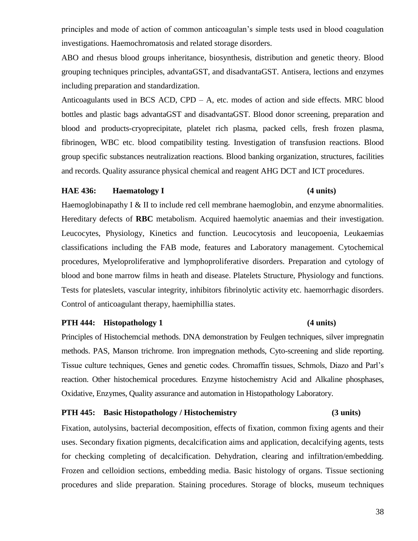principles and mode of action of common anticoagulan's simple tests used in blood coagulation investigations. Haemochromatosis and related storage disorders.

ABO and rhesus blood groups inheritance, biosynthesis, distribution and genetic theory. Blood grouping techniques principles, advantaGST, and disadvantaGST. Antisera, lections and enzymes including preparation and standardization.

Anticoagulants used in BCS ACD, CPD  $- A$ , etc. modes of action and side effects. MRC blood bottles and plastic bags advantaGST and disadvantaGST. Blood donor screening, preparation and blood and products-cryoprecipitate, platelet rich plasma, packed cells, fresh frozen plasma, fibrinogen, WBC etc. blood compatibility testing. Investigation of transfusion reactions. Blood group specific substances neutralization reactions. Blood banking organization, structures, facilities and records. Quality assurance physical chemical and reagent AHG DCT and ICT procedures.

#### **HAE 436: Haematology I (4 units)**

Haemoglobinapathy I  $\&$  II to include red cell membrane haemoglobin, and enzyme abnormalities. Hereditary defects of **RBC** metabolism. Acquired haemolytic anaemias and their investigation. Leucocytes, Physiology, Kinetics and function. Leucocytosis and leucopoenia, Leukaemias classifications including the FAB mode, features and Laboratory management. Cytochemical procedures, Myeloproliferative and lymphoproliferative disorders. Preparation and cytology of blood and bone marrow films in heath and disease. Platelets Structure, Physiology and functions. Tests for plateslets, vascular integrity, inhibitors fibrinolytic activity etc. haemorrhagic disorders. Control of anticoagulant therapy, haemiphillia states.

#### **PTH 444:** Histopathology 1 (4 units)

Principles of Histochemcial methods. DNA demonstration by Feulgen techniques, silver impregnatin methods. PAS, Manson trichrome. Iron impregnation methods, Cyto-screening and slide reporting. Tissue culture techniques, Genes and genetic codes. Chromaffin tissues, Schmols, Diazo and Parl's reaction. Other histochemical procedures. Enzyme histochemistry Acid and Alkaline phosphases, Oxidative, Enzymes, Quality assurance and automation in Histopathology Laboratory.

#### **PTH 445: Basic Histopathology / Histochemistry (3 units)**

Fixation, autolysins, bacterial decomposition, effects of fixation, common fixing agents and their uses. Secondary fixation pigments, decalcification aims and application, decalcifying agents, tests for checking completing of decalcification. Dehydration, clearing and infiltration/embedding. Frozen and celloidion sections, embedding media. Basic histology of organs. Tissue sectioning procedures and slide preparation. Staining procedures. Storage of blocks, museum techniques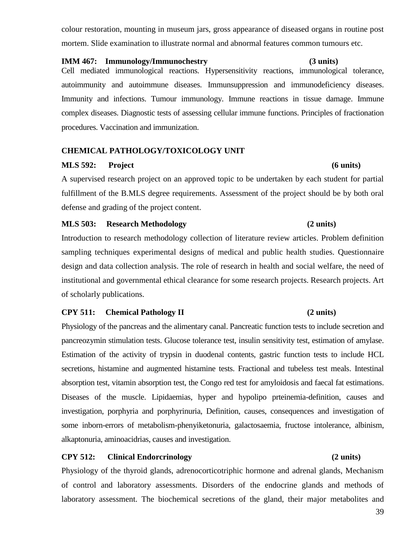colour restoration, mounting in museum jars, gross appearance of diseased organs in routine post mortem. Slide examination to illustrate normal and abnormal features common tumours etc.

#### **IMM 467: Immunology/Immunochestry (3 units)**

Cell mediated immunological reactions. Hypersensitivity reactions, immunological tolerance, autoimmunity and autoimmune diseases. Immunsuppression and immunodeficiency diseases. Immunity and infections. Tumour immunology. Immune reactions in tissue damage. Immune complex diseases. Diagnostic tests of assessing cellular immune functions. Principles of fractionation procedures. Vaccination and immunization.

### **CHEMICAL PATHOLOGY/TOXICOLOGY UNIT**

### **MLS 592: Project (6 units)**

A supervised research project on an approved topic to be undertaken by each student for partial fulfillment of the B.MLS degree requirements. Assessment of the project should be by both oral defense and grading of the project content.

### **MLS 503: Research Methodology (2 units)**

Introduction to research methodology collection of literature review articles. Problem definition sampling techniques experimental designs of medical and public health studies. Questionnaire design and data collection analysis. The role of research in health and social welfare, the need of institutional and governmental ethical clearance for some research projects. Research projects. Art of scholarly publications.

### **CPY 511: Chemical Pathology II (2 units)**

Physiology of the pancreas and the alimentary canal. Pancreatic function tests to include secretion and pancreozymin stimulation tests. Glucose tolerance test, insulin sensitivity test, estimation of amylase. Estimation of the activity of trypsin in duodenal contents, gastric function tests to include HCL secretions, histamine and augmented histamine tests. Fractional and tubeless test meals. Intestinal absorption test, vitamin absorption test, the Congo red test for amyloidosis and faecal fat estimations. Diseases of the muscle. Lipidaemias, hyper and hypolipo prteinemia-definition, causes and investigation, porphyria and porphyrinuria, Definition, causes, consequences and investigation of some inborn-errors of metabolism-phenyiketonuria, galactosaemia, fructose intolerance, albinism, alkaptonuria, aminoacidrias, causes and investigation.

### **CPY 512: Clinical Endorcrinology (2 units)**

Physiology of the thyroid glands, adrenocorticotriphic hormone and adrenal glands, Mechanism of control and laboratory assessments. Disorders of the endocrine glands and methods of laboratory assessment. The biochemical secretions of the gland, their major metabolites and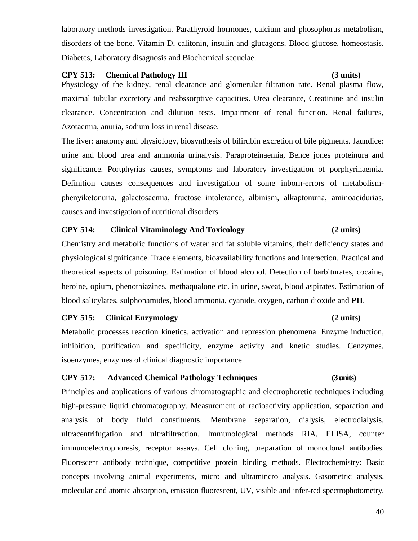laboratory methods investigation. Parathyroid hormones, calcium and phosophorus metabolism, disorders of the bone. Vitamin D, calitonin, insulin and glucagons. Blood glucose, homeostasis. Diabetes, Laboratory disagnosis and Biochemical sequelae.

#### **CPY 513: Chemical Pathology III (3 units)**

Physiology of the kidney, renal clearance and glomerular filtration rate. Renal plasma flow, maximal tubular excretory and reabssorptive capacities. Urea clearance, Creatinine and insulin clearance. Concentration and dilution tests. Impairment of renal function. Renal failures, Azotaemia, anuria, sodium loss in renal disease.

The liver: anatomy and physiology, biosynthesis of bilirubin excretion of bile pigments. Jaundice: urine and blood urea and ammonia urinalysis. Paraproteinaemia, Bence jones proteinura and significance. Portphyrias causes, symptoms and laboratory investigation of porphyrinaemia. Definition causes consequences and investigation of some inborn-errors of metabolismphenyiketonuria, galactosaemia, fructose intolerance, albinism, alkaptonuria, aminoacidurias, causes and investigation of nutritional disorders.

### **CPY 514: Clinical Vitaminology And Toxicology (2 units)**

Chemistry and metabolic functions of water and fat soluble vitamins, their deficiency states and physiological significance. Trace elements, bioavailability functions and interaction. Practical and theoretical aspects of poisoning. Estimation of blood alcohol. Detection of barbiturates, cocaine, heroine, opium, phenothiazines, methaqualone etc. in urine, sweat, blood aspirates. Estimation of blood salicylates, sulphonamides, blood ammonia, cyanide, oxygen, carbon dioxide and **PH**.

#### **CPY 515: Clinical Enzymology (2 units)**

Metabolic processes reaction kinetics, activation and repression phenomena. Enzyme induction, inhibition, purification and specificity, enzyme activity and knetic studies. Cenzymes, isoenzymes, enzymes of clinical diagnostic importance.

#### **CPY 517: Advanced Chemical Pathology Techniques (3 units)**

Principles and applications of various chromatographic and electrophoretic techniques including high-pressure liquid chromatography. Measurement of radioactivity application, separation and analysis of body fluid constituents. Membrane separation, dialysis, electrodialysis, ultracentrifugation and ultrafiltraction. Immunological methods RIA, ELISA, counter immunoelectrophoresis, receptor assays. Cell cloning, preparation of monoclonal antibodies. Fluorescent antibody technique, competitive protein binding methods. Electrochemistry: Basic concepts involving animal experiments, micro and ultramincro analysis. Gasometric analysis, molecular and atomic absorption, emission fluorescent, UV, visible and infer-red spectrophotometry.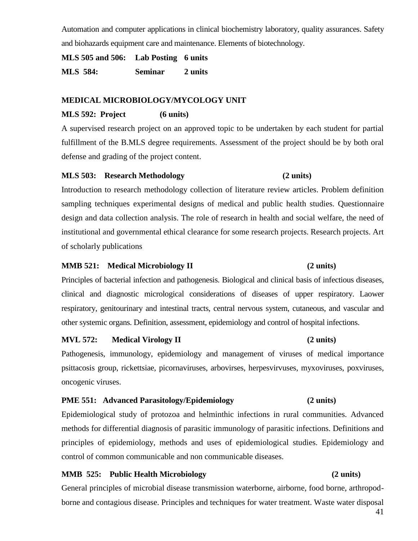Automation and computer applications in clinical biochemistry laboratory, quality assurances. Safety and biohazards equipment care and maintenance. Elements of biotechnology.

**MLS 505 and 506: Lab Posting 6 units MLS 584: Seminar 2 units**

### **MEDICAL MICROBIOLOGY/MYCOLOGY UNIT**

### **MLS 592: Project (6 units)**

A supervised research project on an approved topic to be undertaken by each student for partial fulfillment of the B.MLS degree requirements. Assessment of the project should be by both oral defense and grading of the project content.

#### **MLS 503: Research Methodology (2 units)**

Introduction to research methodology collection of literature review articles. Problem definition sampling techniques experimental designs of medical and public health studies. Questionnaire design and data collection analysis. The role of research in health and social welfare, the need of institutional and governmental ethical clearance for some research projects. Research projects. Art of scholarly publications

#### **MMB 521: Medical Microbiology II (2 units)**

Principles of bacterial infection and pathogenesis. Biological and clinical basis of infectious diseases, clinical and diagnostic micrological considerations of diseases of upper respiratory. Laower respiratory, genitourinary and intestinal tracts, central nervous system, cutaneous, and vascular and other systemic organs. Definition, assessment, epidemiology and control of hospital infections.

#### **MVL 572: Medical Virology II (2 units)**

Pathogenesis, immunology, epidemiology and management of viruses of medical importance psittacosis group, rickettsiae, picornaviruses, arbovirses, herpesvirvuses, myxoviruses, poxviruses, oncogenic viruses.

#### **PME 551: Advanced Parasitology/Epidemiology (2 units)**

Epidemiological study of protozoa and helminthic infections in rural communities. Advanced methods for differential diagnosis of parasitic immunology of parasitic infections. Definitions and principles of epidemiology, methods and uses of epidemiological studies. Epidemiology and control of common communicable and non communicable diseases.

#### **MMB 525: Public Health Microbiology (2 units)**

General principles of microbial disease transmission waterborne, airborne, food borne, arthropodborne and contagious disease. Principles and techniques for water treatment. Waste water disposal

#### 41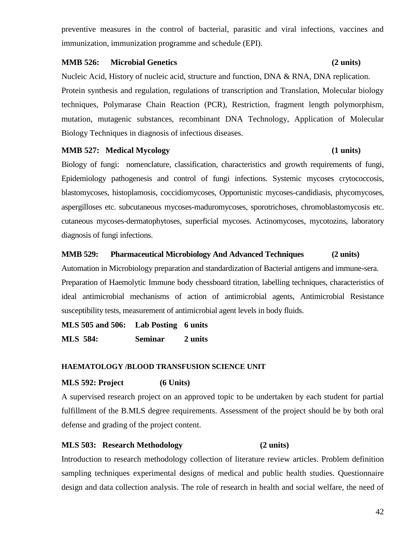preventive measures in the control of bacterial, parasitic and viral infections, vaccines and immunization, immunization programme and schedule (EPI).

#### **MMB 526: Microbial Genetics (2 units)**

Nucleic Acid, History of nucleic acid, structure and function, DNA & RNA, DNA replication. Protein synthesis and regulation, regulations of transcription and Translation, Molecular biology techniques, Polymarase Chain Reaction (PCR), Restriction, fragment length polymorphism, mutation, mutagenic substances, recombinant DNA Technology, Application of Molecular Biology Techniques in diagnosis of infectious diseases.

#### **MMB 527: Medical Mycology (1 units)**

Biology of fungi: nomenclature, classification, characteristics and growth requirements of fungi, Epidemiology pathogenesis and control of fungi infections. Systemic mycoses crytococcosis, blastomycoses, histoplamosis, coccidiomycoses, Opportunistic mycoses-candidiasis, phycomycoses, aspergilloses etc. subcutaneous mycoses-maduromycoses, sporotrichoses, chromoblastomycosis etc. cutaneous mycoses-dermatophytoses, superficial mycoses. Actinomycoses, mycotozins, laboratory diagnosis of fungi infections.

#### **MMB 529: Pharmaceutical Microbiology And Advanced Techniques (2 units)**

Automation in Microbiology preparation and standardization of Bacterial antigens and immune-sera. Preparation of Haemolytic Immune body chessboard titration, labelling techniques, characteristics of ideal antimicrobial mechanisms of action of antimicrobial agents, Antimicrobial Resistance susceptibility tests, measurement of antimicrobial agent levels in body fluids.

**MLS 505 and 506: Lab Posting 6 units MLS 584: Seminar 2 units**

#### **HAEMATOLOGY /BLOOD TRANSFUSION SCIENCE UNIT**

#### **MLS 592: Project (6 Units)**

A supervised research project on an approved topic to be undertaken by each student for partial fulfillment of the B.MLS degree requirements. Assessment of the project should be by both oral defense and grading of the project content.

### **MLS 503: Research Methodology (2 units)**

Introduction to research methodology collection of literature review articles. Problem definition sampling techniques experimental designs of medical and public health studies. Questionnaire design and data collection analysis. The role of research in health and social welfare, the need of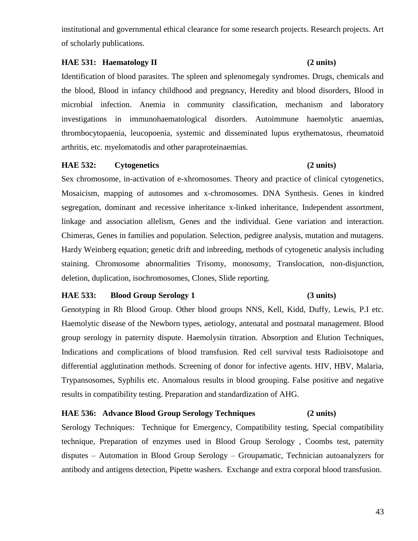institutional and governmental ethical clearance for some research projects. Research projects. Art of scholarly publications.

### **HAE 531: Haematology II** (2 units)

Identification of blood parasites. The spleen and splenomegaly syndromes. Drugs, chemicals and the blood, Blood in infancy childhood and pregnancy, Heredity and blood disorders, Blood in microbial infection. Anemia in community classification, mechanism and laboratory investigations in immunohaematological disorders. Autoimmune haemolytic anaemias, thrombocytopaenia, leucopoenia, systemic and disseminated lupus erythematosus, rheumatoid arthritis, etc. myelomatodis and other paraproteinaemias.

### **HAE 532: Cytogenetics (2 units)**

Sex chromosome, in-activation of e-xhromosomes. Theory and practice of clinical cytogenetics, Mosaicism, mapping of autosomes and x-chromosomes. DNA Synthesis. Genes in kindred segregation, dominant and recessive inheritance x-linked inheritance, Independent assortment, linkage and association allelism, Genes and the individual. Gene variation and interaction. Chimeras, Genes in families and population. Selection, pedigree analysis, mutation and mutagens. Hardy Weinberg equation; genetic drift and inbreeding, methods of cytogenetic analysis including staining. Chromosome abnormalities Trisomy, monosomy, Translocation, non-disjunction, deletion, duplication, isochromosomes, Clones, Slide reporting.

### **HAE 533: Blood Group Serology 1 (3 units)**

## Genotyping in Rh Blood Group. Other blood groups NNS, Kell, Kidd, Duffy, Lewis, P.I etc. Haemolytic disease of the Newborn types, aetiology, antenatal and postnatal management. Blood group serology in paternity dispute. Haemolysin titration. Absorption and Elution Techniques, Indications and complications of blood transfusion. Red cell survival tests Radioisotope and differential agglutination methods. Screening of donor for infective agents. HIV, HBV, Malaria, Trypansosomes, Syphilis etc. Anomalous results in blood grouping. False positive and negative results in compatibility testing. Preparation and standardization of AHG.

### **HAE 536: Advance Blood Group Serology Techniques (2 units)**

Serology Techniques: Technique for Emergency, Compatibility testing, Special compatibility technique, Preparation of enzymes used in Blood Group Serology , Coombs test, paternity disputes – Automation in Blood Group Serology – Groupamatic, Technician autoanalyzers for antibody and antigens detection, Pipette washers. Exchange and extra corporal blood transfusion.

#### 43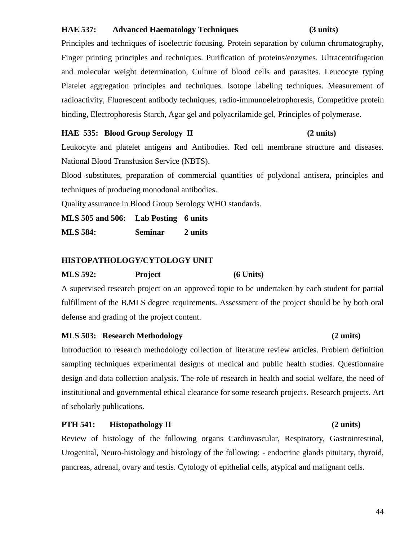### **HAE 537: Advanced Haematology Techniques (3 units)**

Principles and techniques of isoelectric focusing. Protein separation by column chromatography, Finger printing principles and techniques. Purification of proteins/enzymes. Ultracentrifugation and molecular weight determination, Culture of blood cells and parasites. Leucocyte typing Platelet aggregation principles and techniques. Isotope labeling techniques. Measurement of radioactivity, Fluorescent antibody techniques, radio-immunoeletrophoresis, Competitive protein binding, Electrophoresis Starch, Agar gel and polyacrilamide gel, Principles of polymerase.

#### **HAE 535: Blood Group Serology II (2 units)**

Leukocyte and platelet antigens and Antibodies. Red cell membrane structure and diseases. National Blood Transfusion Service (NBTS).

Blood substitutes, preparation of commercial quantities of polydonal antisera, principles and techniques of producing monodonal antibodies.

Quality assurance in Blood Group Serology WHO standards.

**MLS 505 and 506: Lab Posting 6 units MLS 584: Seminar 2 units**

### **HISTOPATHOLOGY/CYTOLOGY UNIT**

**MLS 592: Project (6 Units)** 

A supervised research project on an approved topic to be undertaken by each student for partial fulfillment of the B.MLS degree requirements. Assessment of the project should be by both oral defense and grading of the project content.

### **MLS 503: Research Methodology (2 units)**

Introduction to research methodology collection of literature review articles. Problem definition sampling techniques experimental designs of medical and public health studies. Questionnaire design and data collection analysis. The role of research in health and social welfare, the need of institutional and governmental ethical clearance for some research projects. Research projects. Art of scholarly publications.

### **PTH 541:** Histopathology II (2 units)

Review of histology of the following organs Cardiovascular, Respiratory, Gastrointestinal, Urogenital, Neuro-histology and histology of the following: - endocrine glands pituitary, thyroid, pancreas, adrenal, ovary and testis. Cytology of epithelial cells, atypical and malignant cells.

#### 44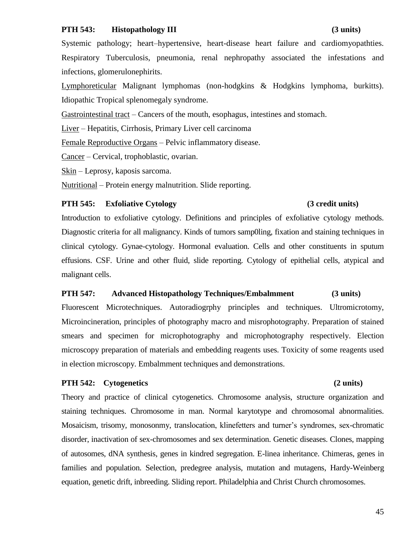#### **PTH 543: Histopathology III (3 units)**

Systemic pathology; heart–hypertensive, heart-disease heart failure and cardiomyopathties. Respiratory Tuberculosis, pneumonia, renal nephropathy associated the infestations and infections, glomerulonephirits.

Lymphoreticular Malignant lymphomas (non-hodgkins & Hodgkins lymphoma, burkitts). Idiopathic Tropical splenomegaly syndrome.

Gastrointestinal tract – Cancers of the mouth, esophagus, intestines and stomach.

Liver – Hepatitis, Cirrhosis, Primary Liver cell carcinoma

Female Reproductive Organs – Pelvic inflammatory disease.

Cancer – Cervical, trophoblastic, ovarian.

Skin – Leprosy, kaposis sarcoma.

Nutritional – Protein energy malnutrition. Slide reporting.

#### **PTH 545: Exfoliative Cytology (3 credit units)**

Introduction to exfoliative cytology. Definitions and principles of exfoliative cytology methods. Diagnostic criteria for all malignancy. Kinds of tumors samp0ling, fixation and staining techniques in clinical cytology. Gynae-cytology. Hormonal evaluation. Cells and other constituents in sputum effusions. CSF. Urine and other fluid, slide reporting. Cytology of epithelial cells, atypical and malignant cells.

#### **PTH 547: Advanced Histopathology Techniques/Embalmment (3 units)**

Fluorescent Microtechniques. Autoradiogrphy principles and techniques. Ultromicrotomy, Microincineration, principles of photography macro and misrophotography. Preparation of stained smears and specimen for microphotography and microphotography respectively. Election microscopy preparation of materials and embedding reagents uses. Toxicity of some reagents used in election microscopy. Embalmment techniques and demonstrations.

#### **PTH 542: Cytogenetics (2 units)**

Theory and practice of clinical cytogenetics. Chromosome analysis, structure organization and staining techniques. Chromosome in man. Normal karytotype and chromosomal abnormalities. Mosaicism, trisomy, monosonmy, translocation, klinefetters and turner's syndromes, sex-chromatic disorder, inactivation of sex-chromosomes and sex determination. Genetic diseases. Clones, mapping of autosomes, dNA synthesis, genes in kindred segregation. E-linea inheritance. Chimeras, genes in families and population. Selection, predegree analysis, mutation and mutagens, Hardy-Weinberg equation, genetic drift, inbreeding. Sliding report. Philadelphia and Christ Church chromosomes.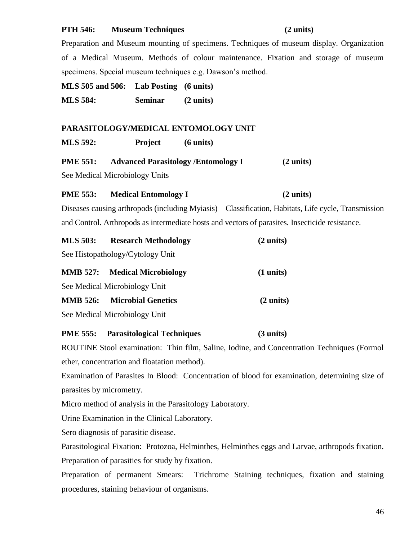#### **PTH 546: Museum Techniques (2 units)**

Preparation and Museum mounting of specimens. Techniques of museum display. Organization of a Medical Museum. Methods of colour maintenance. Fixation and storage of museum specimens. Special museum techniques e.g. Dawson's method.

**MLS 505 and 506: Lab Posting (6 units)** 

**MLS 584: Seminar (2 units)**

### **PARASITOLOGY/MEDICAL ENTOMOLOGY UNIT**

**MLS 592: Project (6 units)**

| <b>PME 551:</b><br><b>Advanced Parasitology /Entomology I</b> | $(2 \text{ units})$ |
|---------------------------------------------------------------|---------------------|
|---------------------------------------------------------------|---------------------|

See Medical Microbiology Units

### **PME 553:** Medical Entomology I (2 units)

Diseases causing arthropods (including Myiasis) – Classification, Habitats, Life cycle, Transmission and Control. Arthropods as intermediate hosts and vectors of parasites. Insecticide resistance.

| <b>MLS 503:</b> | <b>Research Methodology</b>          | $(2 \text{ units})$ |
|-----------------|--------------------------------------|---------------------|
|                 | See Histopathology/Cytology Unit     |                     |
|                 | <b>MMB 527:</b> Medical Microbiology | $(1 \text{ units})$ |
|                 | See Medical Microbiology Unit        |                     |
| <b>MMB</b> 526: | <b>Microbial Genetics</b>            | $(2 \text{ units})$ |
|                 | See Medical Microbiology Unit        |                     |

#### **PME 555: Parasitological Techniques (3 units)**

ROUTINE Stool examination: Thin film, Saline, Iodine, and Concentration Techniques (Formol ether, concentration and floatation method).

Examination of Parasites In Blood: Concentration of blood for examination, determining size of parasites by micrometry.

Micro method of analysis in the Parasitology Laboratory.

Urine Examination in the Clinical Laboratory.

Sero diagnosis of parasitic disease.

Parasitological Fixation: Protozoa, Helminthes, Helminthes eggs and Larvae, arthropods fixation. Preparation of parasities for study by fixation.

Preparation of permanent Smears: Trichrome Staining techniques, fixation and staining procedures, staining behaviour of organisms.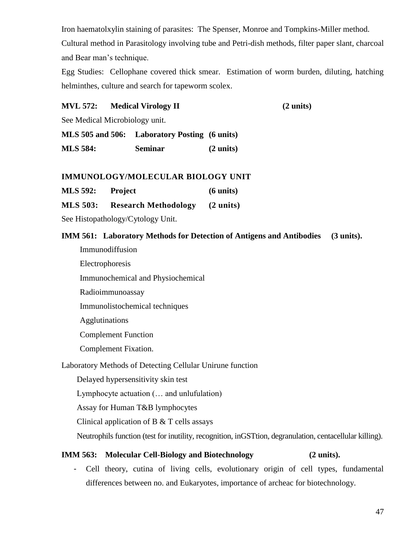Iron haematolxylin staining of parasites: The Spenser, Monroe and Tompkins-Miller method. Cultural method in Parasitology involving tube and Petri-dish methods, filter paper slant, charcoal and Bear man's technique.

Egg Studies: Cellophane covered thick smear. Estimation of worm burden, diluting, hatching helminthes, culture and search for tapeworm scolex.

#### **MVL 572: Medical Virology II (2 units)**

See Medical Microbiology unit.

**MLS 505 and 506: Laboratory Posting (6 units) MLS 584: Seminar (2 units)**

#### **IMMUNOLOGY/MOLECULAR BIOLOGY UNIT**

**MLS 592: Project (6 units)**

**MLS 503: Research Methodology (2 units)**

See Histopathology/Cytology Unit.

**IMM 561: Laboratory Methods for Detection of Antigens and Antibodies (3 units).**

Immunodiffusion

Electrophoresis

Immunochemical and Physiochemical

Radioimmunoassay

Immunolistochemical techniques

Agglutinations

Complement Function

Complement Fixation.

Laboratory Methods of Detecting Cellular Unirune function

Delayed hypersensitivity skin test

Lymphocyte actuation (… and unlufulation)

Assay for Human T&B lymphocytes

Clinical application of B & T cells assays

Neutrophils function (test for inutility, recognition, inGSTtion, degranulation, centacellular killing).

### **IMM 563: Molecular Cell-Biology and Biotechnology (2 units).**

- Cell theory, cutina of living cells, evolutionary origin of cell types, fundamental differences between no. and Eukaryotes, importance of archeac for biotechnology.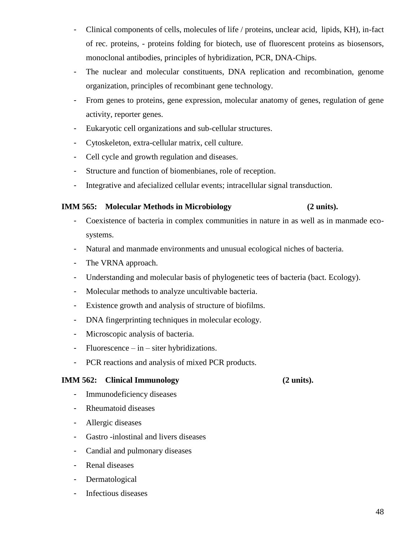- Clinical components of cells, molecules of life / proteins, unclear acid, lipids, KH), in-fact of rec. proteins, - proteins folding for biotech, use of fluorescent proteins as biosensors, monoclonal antibodies, principles of hybridization, PCR, DNA-Chips.
- The nuclear and molecular constituents, DNA replication and recombination, genome organization, principles of recombinant gene technology.
- From genes to proteins, gene expression, molecular anatomy of genes, regulation of gene activity, reporter genes.
- Eukaryotic cell organizations and sub-cellular structures.
- Cytoskeleton, extra-cellular matrix, cell culture.
- Cell cycle and growth regulation and diseases.
- Structure and function of biomenbianes, role of reception.
- Integrative and afecialized cellular events; intracellular signal transduction.

### **IMM 565: Molecular Methods in Microbiology (2 units).**

- Coexistence of bacteria in complex communities in nature in as well as in manmade ecosystems.
- Natural and manmade environments and unusual ecological niches of bacteria.
- The VRNA approach.
- Understanding and molecular basis of phylogenetic tees of bacteria (bact. Ecology).
- Molecular methods to analyze uncultivable bacteria.
- Existence growth and analysis of structure of biofilms.
- DNA fingerprinting techniques in molecular ecology.
- Microscopic analysis of bacteria.
- Fluorescence in siter hybridizations.
- PCR reactions and analysis of mixed PCR products.

### **IMM 562:** Clinical Immunology (2 units).

- Immunodeficiency diseases
- Rheumatoid diseases
- Allergic diseases
- Gastro -inlostinal and livers diseases
- Candial and pulmonary diseases
- Renal diseases
- Dermatological
- Infectious diseases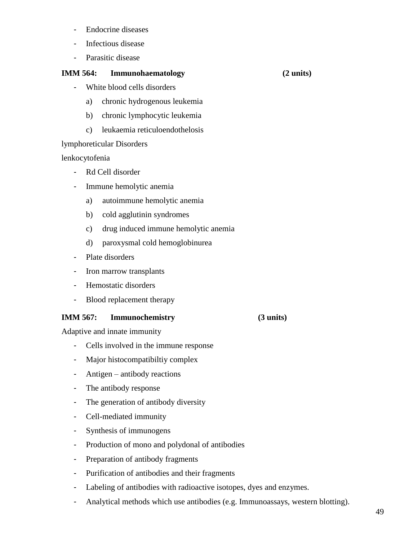- Endocrine diseases
- Infectious disease
- Parasitic disease

### **IMM 564: Immunohaematology (2 units)**

- White blood cells disorders
	- a) chronic hydrogenous leukemia
	- b) chronic lymphocytic leukemia
	- c) leukaemia reticuloendothelosis

### lymphoreticular Disorders

lenkocytofenia

- Rd Cell disorder
- Immune hemolytic anemia
	- a) autoimmune hemolytic anemia
	- b) cold agglutinin syndromes
	- c) drug induced immune hemolytic anemia
	- d) paroxysmal cold hemoglobinurea
- Plate disorders
- Iron marrow transplants
- Hemostatic disorders
- Blood replacement therapy

## **IMM 567: Immunochemistry (3 units)**

Adaptive and innate immunity

- Cells involved in the immune response
- Major histocompatibiltiy complex
- Antigen antibody reactions
- The antibody response
- The generation of antibody diversity
- Cell-mediated immunity
- Synthesis of immunogens
- Production of mono and polydonal of antibodies
- Preparation of antibody fragments
- Purification of antibodies and their fragments
- Labeling of antibodies with radioactive isotopes, dyes and enzymes.
- Analytical methods which use antibodies (e.g. Immunoassays, western blotting).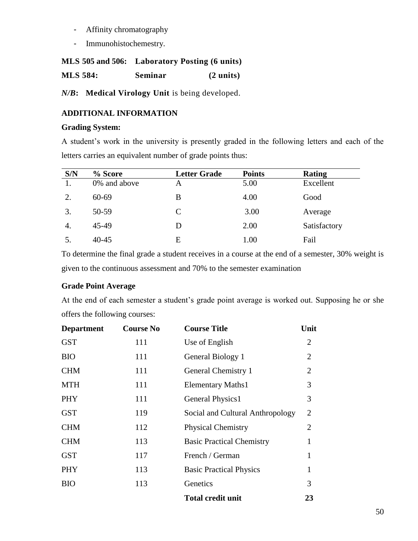- Affinity chromatography
- Immunohistochemestry.

### **MLS 505 and 506: Laboratory Posting (6 units)**

**MLS 584: Seminar (2 units)**

*N/B***: Medical Virology Unit** is being developed.

## **ADDITIONAL INFORMATION**

### **Grading System:**

A student's work in the university is presently graded in the following letters and each of the letters carries an equivalent number of grade points thus:

| S/N | % Score      | <b>Letter Grade</b> | <b>Points</b> | <b>Rating</b> |
|-----|--------------|---------------------|---------------|---------------|
|     | 0% and above | A                   | 5.00          | Excellent     |
| 2.  | 60-69        | B                   | 4.00          | Good          |
| 3.  | 50-59        | C                   | 3.00          | Average       |
| 4.  | 45-49        |                     | 2.00          | Satisfactory  |
|     | $40 - 45$    | E                   | 1.00          | Fail          |

To determine the final grade a student receives in a course at the end of a semester, 30% weight is given to the continuous assessment and 70% to the semester examination

## **Grade Point Average**

At the end of each semester a student's grade point average is worked out. Supposing he or she offers the following courses:

| <b>Department</b> | <b>Course No</b> | <b>Course Title</b>              | Unit           |
|-------------------|------------------|----------------------------------|----------------|
| <b>GST</b>        | 111              | Use of English                   | $\overline{2}$ |
| <b>BIO</b>        | 111              | General Biology 1                | $\overline{2}$ |
| <b>CHM</b>        | 111              | General Chemistry 1              | $\overline{2}$ |
| <b>MTH</b>        | 111              | <b>Elementary Maths1</b>         | 3              |
| <b>PHY</b>        | 111              | General Physics1                 | 3              |
| <b>GST</b>        | 119              | Social and Cultural Anthropology | $\overline{2}$ |
| <b>CHM</b>        | 112              | <b>Physical Chemistry</b>        | $\overline{2}$ |
| <b>CHM</b>        | 113              | <b>Basic Practical Chemistry</b> | 1              |
| <b>GST</b>        | 117              | French / German                  | $\mathbf{1}$   |
| <b>PHY</b>        | 113              | <b>Basic Practical Physics</b>   | $\mathbf{1}$   |
| <b>BIO</b>        | 113              | Genetics                         | 3              |
|                   |                  | <b>Total credit unit</b>         | 23             |